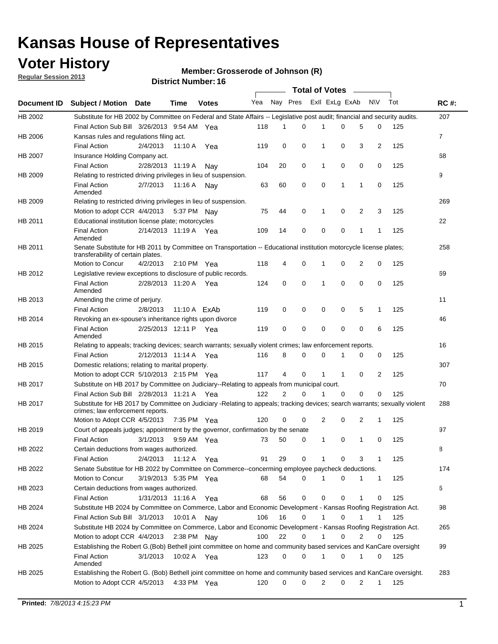## **Voter History**

**Member: Grosserode of Johnson (R)** 

**Regular Session 2013**

|             |                                                                                                                                                                |                       |             |              |     |                | <b>Total of Votes</b> |                |          | $\sim$       |              |     |             |
|-------------|----------------------------------------------------------------------------------------------------------------------------------------------------------------|-----------------------|-------------|--------------|-----|----------------|-----------------------|----------------|----------|--------------|--------------|-----|-------------|
| Document ID | Subject / Motion Date                                                                                                                                          |                       | Time        | <b>Votes</b> | Yea | Nay Pres       |                       | Exll ExLg ExAb |          |              | <b>NV</b>    | Tot | <b>RC#:</b> |
| HB 2002     | Substitute for HB 2002 by Committee on Federal and State Affairs -- Legislative post audit; financial and security audits.                                     |                       |             |              |     |                |                       |                |          |              |              |     | 207         |
|             | Final Action Sub Bill 3/26/2013 9:54 AM Yea                                                                                                                    |                       |             |              | 118 | 1              | 0                     | 1              | 0        | 5            | 0            | 125 |             |
| HB 2006     | Kansas rules and regulations filing act.                                                                                                                       |                       |             |              |     |                |                       |                |          |              |              |     | 7           |
|             | <b>Final Action</b>                                                                                                                                            | 2/4/2013              | 11:10 A     | Yea          | 119 | 0              | 0                     | 1              | 0        | 3            | 2            | 125 |             |
| HB 2007     | Insurance Holding Company act.                                                                                                                                 |                       |             |              |     |                |                       |                |          |              |              |     | 68          |
|             | <b>Final Action</b>                                                                                                                                            | 2/28/2013 11:19 A     |             | Nav          | 104 | 20             | 0                     | 1              | 0        | 0            | 0            | 125 |             |
| HB 2009     | Relating to restricted driving privileges in lieu of suspension.                                                                                               |                       |             |              |     |                |                       |                |          |              |              |     | 9           |
|             | <b>Final Action</b><br>Amended                                                                                                                                 | 2/7/2013              | 11:16 A     | Nay          | 63  | 60             | 0                     | 0              | 1        | $\mathbf{1}$ | 0            | 125 |             |
| HB 2009     | Relating to restricted driving privileges in lieu of suspension.                                                                                               |                       |             |              |     |                |                       |                |          |              |              |     | 269         |
|             | Motion to adopt CCR 4/4/2013                                                                                                                                   |                       |             | 5:37 PM Nay  | 75  | 44             | 0                     | 1              | 0        | 2            | 3            | 125 |             |
| HB 2011     | Educational institution license plate; motorcycles                                                                                                             |                       |             |              |     |                |                       |                |          |              |              |     | 22          |
|             | <b>Final Action</b><br>Amended                                                                                                                                 | 2/14/2013 11:19 A Yea |             |              | 109 | 14             | 0                     | 0              | 0        | 1            | $\mathbf{1}$ | 125 |             |
| HB 2011     | Senate Substitute for HB 2011 by Committee on Transportation -- Educational institution motorcycle license plates;                                             |                       |             |              |     |                |                       |                |          |              |              |     | 258         |
|             | transferability of certain plates.                                                                                                                             |                       |             |              |     |                |                       |                |          |              |              |     |             |
|             | Motion to Concur                                                                                                                                               | 4/2/2013              |             | 2:10 PM Yea  | 118 | 4              | 0                     |                | 0        | 2            | 0            | 125 |             |
| HB 2012     | Legislative review exceptions to disclosure of public records.<br><b>Final Action</b>                                                                          | 2/28/2013 11:20 A     |             | Yea          | 124 | 0              | $\mathbf 0$           | 1              | 0        | 0            | 0            | 125 | 69          |
|             | Amended                                                                                                                                                        |                       |             |              |     |                |                       |                |          |              |              |     |             |
| HB 2013     | Amending the crime of perjury.                                                                                                                                 |                       |             |              |     |                |                       |                |          |              |              |     | 11          |
|             | <b>Final Action</b>                                                                                                                                            | 2/8/2013              |             | 11:10 A ExAb | 119 | 0              | 0                     | 0              | 0        | 5            | 1            | 125 |             |
| HB 2014     | Revoking an ex-spouse's inheritance rights upon divorce                                                                                                        |                       |             |              |     |                |                       |                |          |              |              |     | 46          |
|             | <b>Final Action</b><br>Amended                                                                                                                                 | 2/25/2013 12:11 P     |             | Yea          | 119 | 0              | 0                     | 0              | 0        | 0            | 6            | 125 |             |
| HB 2015     | Relating to appeals; tracking devices; search warrants; sexually violent crimes; law enforcement reports.                                                      |                       |             |              |     |                |                       |                |          |              |              |     | 16          |
|             | <b>Final Action</b>                                                                                                                                            | 2/12/2013 11:14 A Yea |             |              | 116 | 8              | 0                     | 0              | 1        | 0            | 0            | 125 |             |
| HB 2015     | Domestic relations; relating to marital property.                                                                                                              |                       |             |              |     |                |                       |                |          |              |              |     | 307         |
|             | Motion to adopt CCR 5/10/2013 2:15 PM Yea                                                                                                                      |                       |             |              | 117 | 4              | 0                     |                | 1        | 0            | 2            | 125 |             |
| HB 2017     | Substitute on HB 2017 by Committee on Judiciary--Relating to appeals from municipal court.                                                                     |                       |             |              |     |                |                       |                |          |              |              |     | 70          |
|             | Final Action Sub Bill 2/28/2013 11:21 A Yea                                                                                                                    |                       |             |              | 122 | $\overline{2}$ | $\Omega$              |                | $\Omega$ | 0            | 0            | 125 |             |
| HB 2017     | Substitute for HB 2017 by Committee on Judiciary -Relating to appeals; tracking devices; search warrants; sexually violent<br>crimes; law enforcement reports. |                       |             |              |     |                |                       |                |          |              |              |     | 288         |
|             | Motion to Adopt CCR 4/5/2013                                                                                                                                   |                       |             | 7:35 PM Yea  | 120 | 0              | 0                     | 2              | 0        | 2            | 1            | 125 |             |
| HB 2019     | Court of appeals judges; appointment by the governor, confirmation by the senate                                                                               |                       |             |              |     |                |                       |                |          |              |              |     | 97          |
|             | <b>Final Action</b>                                                                                                                                            | 3/1/2013              |             | 9:59 AM Yea  | 73  | 50             | 0                     | 1              | 0        | 1            | 0            | 125 |             |
| HB 2022     | Certain deductions from wages authorized.                                                                                                                      |                       |             |              |     |                |                       |                |          |              |              |     | В           |
|             | <b>Final Action</b>                                                                                                                                            | 2/4/2013              | 11:12 A Yea |              | 91  | 29             | 0                     |                | 0        | 3            | 1            | 125 |             |
| HB 2022     | Senate Substitue for HB 2022 by Committee on Commerce--concerming employee paycheck deductions.                                                                |                       |             |              |     |                |                       |                |          |              |              |     | 174         |
|             | Motion to Concur                                                                                                                                               | 3/19/2013 5:35 PM Yea |             |              | 68  | 54             | 0                     |                | 0        | 1            | $\mathbf{1}$ | 125 |             |
| HB 2023     | Certain deductions from wages authorized.                                                                                                                      |                       |             |              |     |                |                       |                |          |              |              |     | 6           |
|             | <b>Final Action</b>                                                                                                                                            | 1/31/2013 11:16 A Yea |             |              | 68  | 56             | 0                     | 0              | 0        | 1            | 0            | 125 |             |
| HB 2024     | Substitute HB 2024 by Committee on Commerce, Labor and Economic Development - Kansas Roofing Registration Act.                                                 |                       |             |              |     |                |                       |                |          |              |              |     | 98          |
|             | Final Action Sub Bill 3/1/2013                                                                                                                                 |                       | 10:01 A Nay |              | 106 | 16             | 0                     |                | 0        | 1            |              | 125 |             |
| HB 2024     | Substitute HB 2024 by Committee on Commerce, Labor and Economic Development - Kansas Roofing Registration Act.                                                 |                       |             |              |     |                |                       |                |          |              |              |     | 265         |
|             | Motion to adopt CCR 4/4/2013                                                                                                                                   |                       |             | 2:38 PM Nay  | 100 | 22             | 0                     |                | 0        | 2            | 0            | 125 |             |
| HB 2025     | Establishing the Robert G.(Bob) Bethell joint committee on home and community based services and KanCare oversight                                             |                       |             |              |     |                |                       |                |          |              |              |     | 99          |
|             | <b>Final Action</b><br>Amended                                                                                                                                 | 3/1/2013              |             | 10:02 A Yea  | 123 | 0              | 0                     |                | 0        | 1            | 0            | 125 |             |
| HB 2025     | Establishing the Robert G. (Bob) Bethell joint committee on home and community based services and KanCare oversight.                                           |                       |             |              |     |                |                       |                |          |              |              |     | 283         |
|             | Motion to Adopt CCR 4/5/2013                                                                                                                                   |                       |             | 4:33 PM Yea  | 120 | 0              | 0                     | 2              | 0        | 2            | 1            | 125 |             |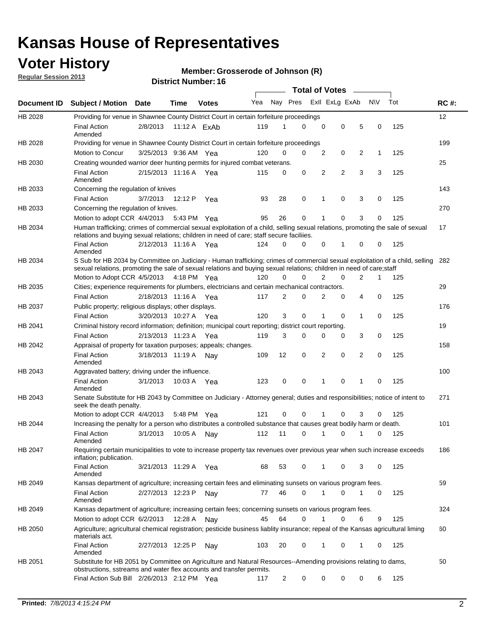## **Voter History**

**Member: Grosserode of Johnson (R)** 

**Regular Session 2013**

|                    |                                                                                                                                                                                                                                                       |                       |         | DISTRICT NUMBER TO |     |                |          | <b>Total of Votes</b> |   | $\sim$         |              |     |             |
|--------------------|-------------------------------------------------------------------------------------------------------------------------------------------------------------------------------------------------------------------------------------------------------|-----------------------|---------|--------------------|-----|----------------|----------|-----------------------|---|----------------|--------------|-----|-------------|
| <b>Document ID</b> | <b>Subject / Motion</b>                                                                                                                                                                                                                               | <b>Date</b>           | Time    | <b>Votes</b>       | Yea | Nay Pres       |          | Exll ExLg ExAb        |   |                | <b>NV</b>    | Tot | <b>RC#:</b> |
| HB 2028            | Providing for venue in Shawnee County District Court in certain forfeiture proceedings                                                                                                                                                                |                       |         |                    |     |                |          |                       |   |                |              |     | 12          |
|                    | <b>Final Action</b>                                                                                                                                                                                                                                   | 2/8/2013              |         | 11:12 A ExAb       | 119 |                | 0        | 0                     | 0 | 5              | 0            | 125 |             |
|                    | Amended                                                                                                                                                                                                                                               |                       |         |                    |     |                |          |                       |   |                |              |     | 199         |
| HB 2028            | Providing for venue in Shawnee County District Court in certain forfeiture proceedings<br>Motion to Concur                                                                                                                                            | 3/25/2013 9:36 AM     |         | Yea                | 120 | 0              | 0        | 2                     | 0 | 2              | $\mathbf{1}$ | 125 |             |
| HB 2030            | Creating wounded warrior deer hunting permits for injured combat veterans.                                                                                                                                                                            |                       |         |                    |     |                |          |                       |   |                |              |     | 25          |
|                    | <b>Final Action</b>                                                                                                                                                                                                                                   | 2/15/2013 11:16 A     |         | Yea                | 115 | 0              | 0        | $\overline{2}$        | 2 | 3              | 3            | 125 |             |
|                    | Amended                                                                                                                                                                                                                                               |                       |         |                    |     |                |          |                       |   |                |              |     |             |
| HB 2033            | Concerning the regulation of knives                                                                                                                                                                                                                   |                       |         |                    |     |                |          |                       |   |                |              |     | 143         |
|                    | <b>Final Action</b>                                                                                                                                                                                                                                   | 3/7/2013              | 12:12 P | Yea                | 93  | 28             | 0        | 1                     | 0 | 3              | 0            | 125 |             |
| HB 2033            | Concerning the regulation of knives.                                                                                                                                                                                                                  |                       |         |                    |     |                |          |                       |   |                |              |     | 270         |
|                    | Motion to adopt CCR 4/4/2013 5:43 PM Yea                                                                                                                                                                                                              |                       |         |                    | 95  | 26             | 0        |                       | 0 | 3              | 0            | 125 |             |
| HB 2034            | Human trafficking; crimes of commercial sexual exploitation of a child, selling sexual relations, promoting the sale of sexual<br>relations and buying sexual relations; children in need of care; staff secure faciliies.                            |                       |         |                    |     |                |          |                       |   |                |              |     | 17          |
|                    | <b>Final Action</b><br>Amended                                                                                                                                                                                                                        | 2/12/2013 11:16 A Yea |         |                    | 124 | 0              | 0        | 0                     | 1 | 0              | 0            | 125 |             |
| HB 2034            | S Sub for HB 2034 by Committee on Judiciary - Human trafficking; crimes of commercial sexual exploitation of a child, selling<br>sexual relations, promoting the sale of sexual relations and buying sexual relations; children in need of care;staff |                       |         |                    |     |                |          |                       |   |                |              |     | 282         |
|                    | Motion to Adopt CCR 4/5/2013 4:18 PM Yea                                                                                                                                                                                                              |                       |         |                    | 120 | 0              | 0        | 2                     | 0 | 2              | 1            | 125 |             |
| HB 2035            | Cities; experience requirements for plumbers, electricians and certain mechanical contractors.                                                                                                                                                        |                       |         |                    |     |                |          |                       |   |                |              |     | 29          |
|                    | <b>Final Action</b>                                                                                                                                                                                                                                   | 2/18/2013 11:16 A     |         | Yea                | 117 | 2              | 0        | $\overline{2}$        | 0 | 4              | 0            | 125 |             |
| HB 2037            | Public property; religious displays; other displays.                                                                                                                                                                                                  |                       |         |                    |     |                |          |                       |   |                |              |     | 176         |
|                    | <b>Final Action</b>                                                                                                                                                                                                                                   | 3/20/2013 10:27 A     |         | Yea                | 120 | 3              | 0        | 1                     | 0 | 1              | 0            | 125 |             |
| HB 2041            | Criminal history record information; definition; municipal court reporting; district court reporting.                                                                                                                                                 |                       |         |                    |     |                |          |                       |   |                |              |     | 19          |
|                    | <b>Final Action</b>                                                                                                                                                                                                                                   | 2/13/2013 11:23 A     |         | Yea                | 119 | 3              | 0        | 0                     | 0 | 3              | 0            | 125 |             |
| HB 2042            | Appraisal of property for taxation purposes; appeals; changes.                                                                                                                                                                                        |                       |         |                    |     |                |          |                       |   |                |              |     | 158         |
|                    | <b>Final Action</b><br>Amended                                                                                                                                                                                                                        | 3/18/2013 11:19 A     |         | Nav                | 109 | 12             | 0        | 2                     | 0 | $\overline{2}$ | 0            | 125 |             |
| HB 2043            | Aggravated battery; driving under the influence.                                                                                                                                                                                                      |                       |         |                    |     |                |          |                       |   |                |              |     | 100         |
|                    | <b>Final Action</b><br>Amended                                                                                                                                                                                                                        | 3/1/2013              |         | 10:03 A Yea        | 123 | 0              | 0        |                       | 0 | 1              | 0            | 125 |             |
| HB 2043            | Senate Substitute for HB 2043 by Committee on Judiciary - Attorney general; duties and responsibilities; notice of intent to<br>seek the death penalty.                                                                                               |                       |         |                    |     |                |          |                       |   |                |              |     | 271         |
|                    | Motion to adopt CCR 4/4/2013                                                                                                                                                                                                                          |                       |         | 5:48 PM Yea        | 121 | 0              | $\Omega$ |                       | 0 | 3              | 0            | 125 |             |
| HB 2044            | Increasing the penalty for a person who distributes a controlled substance that causes great bodily harm or death.                                                                                                                                    |                       |         |                    |     |                |          |                       |   |                |              |     | 101         |
|                    | <b>Final Action</b><br>Amended                                                                                                                                                                                                                        | 3/1/2013              | 10:05 A | Nav                | 112 | 11             | 0        | 1                     | 0 |                | 0            | 125 |             |
| HB 2047            | Requiring certain municipalities to vote to increase property tax revenues over previous year when such increase exceeds<br>inflation; publication.                                                                                                   |                       |         |                    |     |                |          |                       |   |                |              |     | 186         |
|                    | Final Action<br>Amended                                                                                                                                                                                                                               | 3/21/2013 11:29 A Yea |         |                    | 68  | 53             | 0        | 1                     | 0 | 3              | 0            | 125 |             |
| HB 2049            | Kansas department of agriculture; increasing certain fees and eliminating sunsets on various program fees.                                                                                                                                            |                       |         |                    |     |                |          |                       |   |                |              |     | 59          |
|                    | Final Action<br>Amended                                                                                                                                                                                                                               | 2/27/2013 12:23 P     |         | Nay                | 77  | 46             | 0        | 1                     | 0 | 1              | $\Omega$     | 125 |             |
| HB 2049            | Kansas department of agriculture; increasing certain fees; concerning sunsets on various program fees.                                                                                                                                                |                       |         |                    |     |                |          |                       |   |                |              |     | 324         |
|                    | Motion to adopt CCR 6/2/2013                                                                                                                                                                                                                          |                       | 12:28 A | Nav                | 45  | 64             | 0        | 1                     | 0 | 6              | 9            | 125 |             |
| HB 2050            | Agriculture: agricultural chemical registration; pesticide business liablity insurance; repeal of the Kansas agricultural liming<br>materials act.                                                                                                    |                       |         |                    |     |                |          |                       |   |                |              |     | 60          |
|                    | <b>Final Action</b><br>Amended                                                                                                                                                                                                                        | 2/27/2013 12:25 P     |         | Nay                | 103 | 20             | 0        | $\mathbf{1}$          | 0 | 1              | 0            | 125 |             |
| HB 2051            | Substitute for HB 2051 by Committee on Agriculture and Natural Resources--Amending provisions relating to dams,<br>obstructions, sstreams and water flex accounts and transfer permits.                                                               |                       |         |                    |     |                |          |                       |   |                |              |     | 50          |
|                    | Final Action Sub Bill 2/26/2013 2:12 PM Yea                                                                                                                                                                                                           |                       |         |                    | 117 | $\overline{2}$ | 0        | 0                     | 0 | 0              | 6            | 125 |             |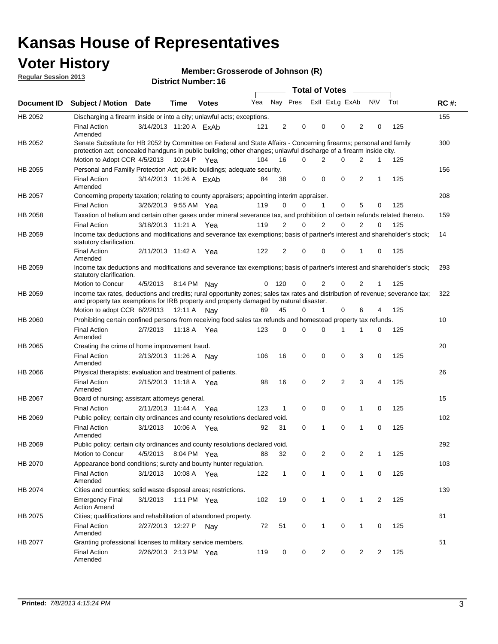## **Voter History**

**Member: Grosserode of Johnson (R)** 

**Regular Session 2013**

|                |                                                                                                                                                                                                                                          |                        |             | DISTILL MUILIDEL. TO |     |                |                         | Total of Votes – |                |          |                |              |     |             |
|----------------|------------------------------------------------------------------------------------------------------------------------------------------------------------------------------------------------------------------------------------------|------------------------|-------------|----------------------|-----|----------------|-------------------------|------------------|----------------|----------|----------------|--------------|-----|-------------|
| Document ID    | <b>Subject / Motion</b>                                                                                                                                                                                                                  | <b>Date</b>            | Time        | <b>Votes</b>         | Yea |                | Nay Pres Exll ExLg ExAb |                  |                |          |                | <b>NV</b>    | Tot | <b>RC#:</b> |
| HB 2052        | Discharging a firearm inside or into a city; unlawful acts; exceptions.                                                                                                                                                                  |                        |             |                      |     |                |                         |                  |                |          |                |              |     | 155         |
|                | <b>Final Action</b><br>Amended                                                                                                                                                                                                           | 3/14/2013 11:20 A ExAb |             |                      | 121 | 2              | 0                       |                  | 0              | 0        | 2              | 0            | 125 |             |
| HB 2052        | Senate Substitute for HB 2052 by Committee on Federal and State Affairs - Concerning firearms; personal and family<br>protection act; concealed handguns in public building; other changes; unlawful discharge of a firearm inside city. |                        |             |                      |     |                |                         |                  |                |          |                |              |     | 300         |
|                | Motion to Adopt CCR 4/5/2013 10:24 P Yea                                                                                                                                                                                                 |                        |             |                      | 104 | 16             | 0                       |                  | 2              | 0        | 2              | 1            | 125 |             |
| HB 2055        | Personal and Familly Protection Act; public buildings; adequate security.                                                                                                                                                                |                        |             |                      |     |                |                         |                  |                |          |                |              |     | 156         |
|                | <b>Final Action</b><br>Amended                                                                                                                                                                                                           | 3/14/2013 11:26 A FxAb |             |                      | 84  | 38             | 0                       |                  | 0              | 0        | $\overline{2}$ | 1            | 125 |             |
| <b>HB 2057</b> | Concerning property taxation; relating to county appraisers; appointing interim appraiser.                                                                                                                                               |                        |             |                      |     |                |                         |                  |                |          |                |              |     | 208         |
|                | <b>Final Action</b>                                                                                                                                                                                                                      | 3/26/2013 9:55 AM Yea  |             |                      | 119 | 0              | 0                       |                  | 1              | 0        | 5              | 0            | 125 |             |
| HB 2058        | Taxation of helium and certain other gases under mineral severance tax, and prohibition of certain refunds related thereto.                                                                                                              |                        |             |                      |     |                |                         |                  |                |          |                |              |     | 159         |
|                | <b>Final Action</b>                                                                                                                                                                                                                      | 3/18/2013 11:21 A Yea  |             |                      | 119 | 2              | 0                       |                  | 2              | 0        | 2              | 0            | 125 |             |
| HB 2059        | Income tax deductions and modifications and severance tax exemptions; basis of partner's interest and shareholder's stock;<br>statutory clarification.                                                                                   |                        |             |                      |     |                |                         |                  |                |          |                |              |     | 14          |
|                | <b>Final Action</b><br>Amended                                                                                                                                                                                                           | 2/11/2013 11:42 A      |             | Yea                  | 122 | $\overline{2}$ | 0                       |                  | 0              | 0        | 1              | 0            | 125 |             |
| HB 2059        | Income tax deductions and modifications and severance tax exemptions; basis of partner's interest and shareholder's stock;<br>statutory clarification.                                                                                   |                        |             |                      |     |                |                         |                  |                |          |                |              |     | 293         |
|                | Motion to Concur                                                                                                                                                                                                                         | 4/5/2013               | 8:14 PM Nav |                      | 0   | 120            | 0                       |                  | $\overline{2}$ | 0        | $\overline{2}$ | $\mathbf{1}$ | 125 |             |
| HB 2059        | Income tax rates, deductions and credits; rural opportunity zones; sales tax rates and distribution of revenue; severance tax;<br>and property tax exemptions for IRB property and property damaged by natural disaster.                 |                        |             |                      |     |                |                         |                  |                |          |                |              |     | 322         |
|                | Motion to adopt CCR 6/2/2013                                                                                                                                                                                                             |                        | 12:11 A     | Nav                  | 69  | 45             | 0                       |                  | $\mathbf{1}$   | 0        | 6              | 4            | 125 |             |
| HB 2060        | Prohibiting certain confined persons from receiving food sales tax refunds and homestead property tax refunds.                                                                                                                           |                        |             |                      |     |                |                         |                  |                |          |                |              |     | 10          |
|                | <b>Final Action</b><br>Amended                                                                                                                                                                                                           | 2/7/2013               | 11:18 A     | Yea                  | 123 | $\mathbf 0$    | 0                       |                  | 0              | 1        | 1              | 0            | 125 |             |
| HB 2065        | Creating the crime of home improvement fraud.                                                                                                                                                                                            |                        |             |                      |     |                |                         |                  |                |          |                |              |     | 20          |
|                | <b>Final Action</b><br>Amended                                                                                                                                                                                                           | 2/13/2013 11:26 A Nay  |             |                      | 106 | 16             | 0                       |                  | 0              | 0        | 3              | 0            | 125 |             |
| HB 2066        | Physical therapists; evaluation and treatment of patients.                                                                                                                                                                               |                        |             |                      |     |                |                         |                  |                |          |                |              |     | 26          |
|                | <b>Final Action</b><br>Amended                                                                                                                                                                                                           | 2/15/2013 11:18 A Yea  |             |                      | 98  | 16             | 0                       |                  | 2              | 2        | 3              | 4            | 125 |             |
| HB 2067        | Board of nursing; assistant attorneys general.                                                                                                                                                                                           |                        |             |                      |     |                |                         |                  |                |          |                |              |     | 15          |
|                | <b>Final Action</b>                                                                                                                                                                                                                      | 2/11/2013 11:44 A Yea  |             |                      | 123 | $\mathbf{1}$   | 0                       |                  | 0              | 0        | 1              | 0            | 125 |             |
| HB 2069        | Public policy; certain city ordinances and county resolutions declared void.                                                                                                                                                             |                        |             |                      |     |                |                         |                  |                |          |                |              |     | 102         |
|                | <b>Final Action</b><br>Amended                                                                                                                                                                                                           | 3/1/2013               | 10:06 A     | Yea                  | 92  | 31             | 0                       |                  | 1              | $\Omega$ | 1              | 0            | 125 |             |
| HB 2069        | Public policy; certain city ordinances and county resolutions declared void.                                                                                                                                                             |                        |             |                      |     |                |                         |                  |                |          |                |              |     | 292         |
|                | Motion to Concur                                                                                                                                                                                                                         | 4/5/2013               |             | 8:04 PM Yea          | 88  | 32             | 0                       |                  | 2              | 0        | 2              | 1            | 125 |             |
| HB 2070        | Appearance bond conditions; surety and bounty hunter regulation.                                                                                                                                                                         |                        |             |                      |     |                |                         |                  |                |          |                |              |     | 103         |
|                | <b>Final Action</b><br>Amended                                                                                                                                                                                                           | 3/1/2013               | 10:08 A Yea |                      | 122 | $\mathbf{1}$   | 0                       |                  | $\mathbf{1}$   | 0        | $\mathbf{1}$   | 0            | 125 |             |
| HB 2074        | Cities and counties; solid waste disposal areas; restrictions.                                                                                                                                                                           |                        |             |                      |     |                |                         |                  |                |          |                |              |     | 139         |
|                | <b>Emergency Final</b><br><b>Action Amend</b>                                                                                                                                                                                            | 3/1/2013               |             | 1:11 PM Yea          | 102 | 19             | 0                       |                  | 1              | 0        | 1              | 2            | 125 |             |
| HB 2075        | Cities; qualifications and rehabilitation of abandoned property.                                                                                                                                                                         |                        |             |                      |     |                |                         |                  |                |          |                |              |     | 61          |
|                | <b>Final Action</b><br>Amended                                                                                                                                                                                                           | 2/27/2013 12:27 P      |             | Nav                  | 72  | 51             | 0                       |                  | 1              | 0        | 1              | 0            | 125 |             |
| HB 2077        | Granting professional licenses to military service members.<br>Final Action<br>Amended                                                                                                                                                   | 2/26/2013 2:13 PM Yea  |             |                      | 119 | 0              | 0                       |                  | 2              | 0        | 2              | 2            | 125 | 51          |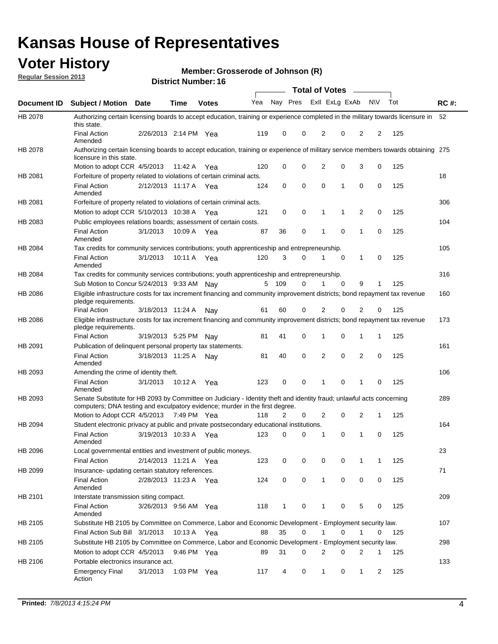## **Voter History**

**Member: Grosserode of Johnson (R)** 

**Regular Session 2013**

|             |                                                                                                                                                                                                       |                       |             |              |     |                         |          | <b>Total of Votes</b> |   | $\sim$         |           |     |             |
|-------------|-------------------------------------------------------------------------------------------------------------------------------------------------------------------------------------------------------|-----------------------|-------------|--------------|-----|-------------------------|----------|-----------------------|---|----------------|-----------|-----|-------------|
| Document ID | Subject / Motion Date                                                                                                                                                                                 |                       | <b>Time</b> | <b>Votes</b> | Yea | Nay Pres Exll ExLg ExAb |          |                       |   |                | <b>NV</b> | Tot | <b>RC#:</b> |
| HB 2078     | Authorizing certain licensing boards to accept education, training or experience completed in the military towards licensure in<br>this state.                                                        |                       |             |              |     |                         |          |                       |   |                |           |     | 52          |
|             | <b>Final Action</b><br>Amended                                                                                                                                                                        | 2/26/2013 2:14 PM Yea |             |              | 119 | 0                       | 0        | 2                     | 0 | 2              | 2         | 125 |             |
| HB 2078     | Authorizing certain licensing boards to accept education, training or experience of military service members towards obtaining 275<br>licensure in this state.                                        |                       |             |              |     |                         |          |                       |   |                |           |     |             |
|             | Motion to adopt CCR 4/5/2013                                                                                                                                                                          |                       | 11:42 A     | Yea          | 120 | 0                       | 0        | 2                     | 0 | 3              | 0         | 125 |             |
| HB 2081     | Forfeiture of property related to violations of certain criminal acts.                                                                                                                                |                       |             |              |     |                         |          |                       |   |                |           |     | 18          |
|             | <b>Final Action</b><br>Amended                                                                                                                                                                        | 2/12/2013 11:17 A Yea |             |              | 124 | 0                       | 0        | 0                     | 1 | 0              | 0         | 125 |             |
| HB 2081     | Forfeiture of property related to violations of certain criminal acts.                                                                                                                                |                       |             |              |     |                         |          |                       |   |                |           |     | 306         |
|             | Motion to adopt CCR 5/10/2013 10:38 A                                                                                                                                                                 |                       |             | Yea          | 121 | 0                       | 0        | 1                     | 1 | $\overline{2}$ | 0         | 125 |             |
| HB 2083     | Public employees relations boards; assessment of certain costs.                                                                                                                                       |                       |             |              |     |                         |          |                       |   |                |           |     | 104         |
|             | <b>Final Action</b><br>Amended                                                                                                                                                                        | 3/1/2013              | 10:09 A     | Yea          | 87  | 36                      | 0        | 1                     | 0 | 1              | 0         | 125 |             |
| HB 2084     | Tax credits for community services contributions; youth apprenticeship and entrepreneurship.                                                                                                          |                       |             |              |     |                         |          |                       |   |                |           |     | 105         |
|             | <b>Final Action</b><br>Amended                                                                                                                                                                        | 3/1/2013              | 10:11 A     | Yea          | 120 | 3                       | 0        | 1                     | 0 | 1              | 0         | 125 |             |
| HB 2084     | Tax credits for community services contributions; youth apprenticeship and entrepreneurship.                                                                                                          |                       |             |              |     |                         |          |                       |   |                |           |     | 316         |
|             | Sub Motion to Concur 5/24/2013 9:33 AM Nay                                                                                                                                                            |                       |             |              |     | 5 109                   | 0        | 1                     | 0 | 9              | 1         | 125 |             |
| HB 2086     | Eligible infrastructure costs for tax increment financing and community improvement districts; bond repayment tax revenue<br>pledge requirements.                                                     |                       |             |              |     |                         |          |                       |   |                |           |     | 160         |
|             | <b>Final Action</b>                                                                                                                                                                                   | 3/18/2013 11:24 A     |             | Nav          | 61  | 60                      | 0        | 2                     | 0 | 2              | 0         | 125 |             |
| HB 2086     | Eligible infrastructure costs for tax increment financing and community improvement districts; bond repayment tax revenue<br>pledge requirements.                                                     |                       |             |              |     |                         |          |                       |   |                |           |     | 173         |
|             | <b>Final Action</b>                                                                                                                                                                                   | 3/19/2013 5:25 PM     |             | Nav          | 81  | 41                      | 0        | 1                     | 0 | 1              | 1         | 125 |             |
| HB 2091     | Publication of delinquent personal property tax statements.                                                                                                                                           |                       |             |              |     |                         |          |                       |   |                |           |     | 161         |
|             | <b>Final Action</b><br>Amended                                                                                                                                                                        | 3/18/2013 11:25 A     |             | Nav          | 81  | 40                      | $\Omega$ | 2                     | 0 | 2              | 0         | 125 |             |
| HB 2093     | Amending the crime of identity theft.                                                                                                                                                                 |                       |             |              |     |                         |          |                       |   |                |           |     | 106         |
|             | <b>Final Action</b><br>Amended                                                                                                                                                                        | 3/1/2013              | 10:12 A Yea |              | 123 | 0                       | 0        | 1                     | 0 | 1              | 0         | 125 |             |
| HB 2093     | Senate Substitute for HB 2093 by Committee on Judiciary - Identity theft and identity fraud; unlawful acts concerning<br>computers; DNA testing and exculpatory evidence; murder in the first degree. |                       |             |              |     |                         |          |                       |   |                |           |     | 289         |
|             | Motion to Adopt CCR 4/5/2013 7:49 PM Yea                                                                                                                                                              |                       |             |              | 118 | 2                       | 0        | 2                     | 0 | 2              | 1         | 125 |             |
| HB 2094     | Student electronic privacy at public and private postsecondary educational institutions.                                                                                                              |                       |             |              |     |                         |          |                       |   |                |           |     | 164         |
|             | <b>Final Action</b><br>Amended                                                                                                                                                                        | 3/19/2013 10:33 A     |             | Yea          | 123 | 0                       | 0        |                       | 0 | 1              | 0         | 125 |             |
| HB 2096     | Local governmental entities and investment of public moneys.                                                                                                                                          |                       |             |              |     |                         |          |                       |   |                |           |     | 23          |
|             | <b>Final Action</b>                                                                                                                                                                                   | 2/14/2013 11:21 A     |             | Yea          | 123 | 0                       | 0        | 0                     | 0 | 1              | 1         | 125 |             |
| HB 2099     | Insurance- updating certain statutory references.                                                                                                                                                     |                       |             |              |     |                         |          |                       |   |                |           |     | 71          |
|             | Final Action<br>Amended                                                                                                                                                                               | 2/28/2013 11:23 A Yea |             |              | 124 | 0                       | 0        | 1                     | 0 | 0              | 0         | 125 |             |
| HB 2101     | Interstate transmission siting compact.                                                                                                                                                               |                       |             |              |     |                         |          |                       |   |                |           |     | 209         |
|             | <b>Final Action</b><br>Amended                                                                                                                                                                        | 3/26/2013 9:56 AM Yea |             |              | 118 | 1                       | 0        | 1                     | 0 | 5              | 0         | 125 |             |
| HB 2105     | Substitute HB 2105 by Committee on Commerce, Labor and Economic Development - Employment security law.                                                                                                |                       |             |              |     |                         |          |                       |   |                |           |     | 107         |
|             | Final Action Sub Bill 3/1/2013                                                                                                                                                                        |                       | 10:13 A Yea |              | 88  | 35                      | 0        |                       | 0 | 1              | 0         | 125 |             |
| HB 2105     | Substitute HB 2105 by Committee on Commerce, Labor and Economic Development - Employment security law.                                                                                                |                       |             |              |     |                         |          |                       |   |                |           |     | 298         |
|             | Motion to adopt CCR 4/5/2013                                                                                                                                                                          |                       | 9:46 PM Yea |              | 89  | 31                      | 0        | 2                     | 0 | 2              | 1         | 125 |             |
| HB 2106     | Portable electronics insurance act.                                                                                                                                                                   |                       |             |              |     |                         |          |                       |   |                |           |     | 133         |
|             | <b>Emergency Final</b><br>Action                                                                                                                                                                      | 3/1/2013              | 1:03 PM Yea |              | 117 | 4                       | 0        | $\mathbf{1}$          | 0 | $\mathbf{1}$   | 2         | 125 |             |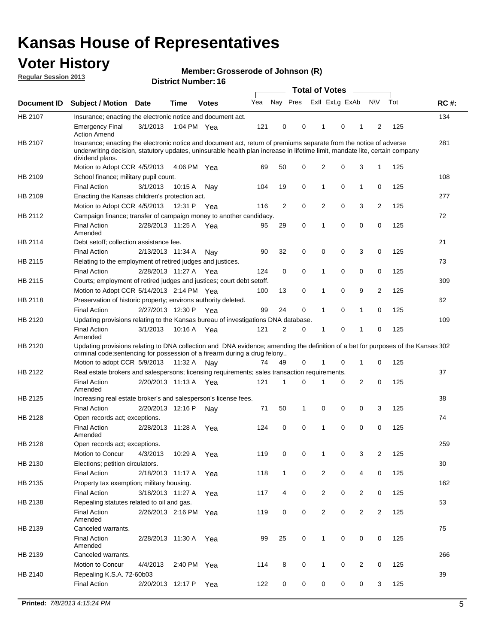## **Voter History**

**Member: Grosserode of Johnson (R)** 

**Regular Session 2013**

|             |                                                                                                                                                                                                                                                                      |                       |         | <b>DISTRICT MUTHDEL: 10</b> |     |                |             | Total of Votes – |   |              |                |     |             |
|-------------|----------------------------------------------------------------------------------------------------------------------------------------------------------------------------------------------------------------------------------------------------------------------|-----------------------|---------|-----------------------------|-----|----------------|-------------|------------------|---|--------------|----------------|-----|-------------|
| Document ID | <b>Subject / Motion</b>                                                                                                                                                                                                                                              | Date                  | Time    | <b>Votes</b>                | Yea | Nay Pres       |             | Exll ExLg ExAb   |   |              | <b>NV</b>      | Tot | <b>RC#:</b> |
| HB 2107     | Insurance; enacting the electronic notice and document act.                                                                                                                                                                                                          |                       |         |                             |     |                |             |                  |   |              |                |     | 134         |
|             | <b>Emergency Final</b><br><b>Action Amend</b>                                                                                                                                                                                                                        | 3/1/2013              |         | 1:04 PM Yea                 | 121 | 0              | 0           | 1                | 0 | 1            | 2              | 125 |             |
| HB 2107     | Insurance; enacting the electronic notice and document act, return of premiums separate from the notice of adverse<br>underwriting decision, statutory updates, uninsurable health plan increase in lifetime limit, mandate lite, certain company<br>dividend plans. |                       |         |                             |     |                |             |                  |   |              |                |     | 281         |
|             | Motion to Adopt CCR 4/5/2013                                                                                                                                                                                                                                         |                       | 4:06 PM | Yea                         | 69  | 50             | 0           | 2                | 0 | 3            | 1              | 125 |             |
| HB 2109     | School finance; military pupil count.                                                                                                                                                                                                                                |                       |         |                             |     |                |             |                  |   |              |                |     | 108         |
|             | <b>Final Action</b>                                                                                                                                                                                                                                                  | 3/1/2013              | 10:15A  | Nav                         | 104 | 19             | 0           | 1                | 0 | 1            | 0              | 125 |             |
| HB 2109     | Enacting the Kansas children's protection act.                                                                                                                                                                                                                       |                       |         |                             |     |                |             |                  |   |              |                |     | 277         |
|             | Motion to Adopt CCR 4/5/2013                                                                                                                                                                                                                                         |                       | 12:31 P | Yea                         | 116 | $\overline{2}$ | $\mathbf 0$ | 2                | 0 | 3            | $\overline{2}$ | 125 |             |
| HB 2112     | Campaign finance; transfer of campaign money to another candidacy.                                                                                                                                                                                                   |                       |         |                             |     |                |             |                  |   |              |                |     | 72          |
|             | <b>Final Action</b><br>Amended                                                                                                                                                                                                                                       | 2/28/2013 11:25 A Yea |         |                             | 95  | 29             | 0           | 1                | 0 | 0            | 0              | 125 |             |
| HB 2114     | Debt setoff; collection assistance fee.                                                                                                                                                                                                                              |                       |         |                             |     |                |             |                  |   |              |                |     | 21          |
|             | <b>Final Action</b>                                                                                                                                                                                                                                                  | 2/13/2013 11:34 A     |         | Nav                         | 90  | 32             | 0           | 0                | 0 | 3            | 0              | 125 |             |
| HB 2115     | Relating to the employment of retired judges and justices.                                                                                                                                                                                                           |                       |         |                             |     |                |             |                  |   |              |                |     | 73          |
|             | <b>Final Action</b>                                                                                                                                                                                                                                                  | 2/28/2013 11:27 A Yea |         |                             | 124 | 0              | 0           | 1                | 0 | 0            | 0              | 125 |             |
| HB 2115     | Courts; employment of retired judges and justices; court debt setoff.                                                                                                                                                                                                |                       |         |                             |     |                |             |                  |   |              |                |     | 309         |
|             | Motion to Adopt CCR 5/14/2013 2:14 PM Yea                                                                                                                                                                                                                            |                       |         |                             | 100 | 13             | 0           | 1                | 0 | 9            | 2              | 125 |             |
| HB 2118     | Preservation of historic property; environs authority deleted.                                                                                                                                                                                                       |                       |         |                             |     |                |             |                  |   |              |                |     | 62          |
|             | <b>Final Action</b>                                                                                                                                                                                                                                                  | 2/27/2013 12:30 P Yea |         |                             | 99  | 24             | 0           | 1                | 0 | 1            | 0              | 125 |             |
| HB 2120     | Updating provisions relating to the Kansas bureau of investigations DNA database.<br><b>Final Action</b>                                                                                                                                                             | 3/1/2013              |         | 10:16 A Yea                 | 121 | 2              | 0           | 1                | 0 | 1            | 0              | 125 | 109         |
|             | Amended                                                                                                                                                                                                                                                              |                       |         |                             |     |                |             |                  |   |              |                |     |             |
| HB 2120     | Updating provisions relating to DNA collection and DNA evidence; amending the definition of a bet for purposes of the Kansas 302                                                                                                                                     |                       |         |                             |     |                |             |                  |   |              |                |     |             |
|             | criminal code; sentencing for possession of a firearm during a drug felony<br>Motion to adopt CCR 5/9/2013 11:32 A Nay                                                                                                                                               |                       |         |                             | 74  | 49             | 0           | 1                | 0 | $\mathbf{1}$ | 0              | 125 |             |
| HB 2122     | Real estate brokers and salespersons; licensing requirements; sales transaction requirements.                                                                                                                                                                        |                       |         |                             |     |                |             |                  |   |              |                |     | 37          |
|             | <b>Final Action</b><br>Amended                                                                                                                                                                                                                                       | 2/20/2013 11:13 A Yea |         |                             | 121 | 1              | 0           |                  | 0 | 2            | 0              | 125 |             |
| HB 2125     | Increasing real estate broker's and salesperson's license fees.                                                                                                                                                                                                      |                       |         |                             |     |                |             |                  |   |              |                |     | 38          |
|             | <b>Final Action</b>                                                                                                                                                                                                                                                  | 2/20/2013 12:16 P     |         | Nav                         | 71  | 50             | 1           | 0                | 0 | 0            | 3              | 125 |             |
| HB 2128     | Open records act; exceptions.                                                                                                                                                                                                                                        |                       |         |                             |     |                |             |                  |   |              |                |     | 74          |
|             | <b>Final Action</b><br>Amended                                                                                                                                                                                                                                       | 2/28/2013 11:28 A     |         | Yea                         | 124 | 0              | 0           | 1                | 0 | 0            | 0              | 125 |             |
| HB 2128     | Open records act; exceptions.                                                                                                                                                                                                                                        |                       |         |                             |     |                |             |                  |   |              |                |     | 259         |
|             | Motion to Concur                                                                                                                                                                                                                                                     | 4/3/2013              | 10:29 A | Yea                         | 119 | 0              | 0           | 1                | 0 | 3            | 2              | 125 |             |
| HB 2130     | Elections; petition circulators.                                                                                                                                                                                                                                     |                       |         |                             |     |                |             |                  |   |              |                |     | 30          |
|             | Final Action                                                                                                                                                                                                                                                         | 2/18/2013 11:17 A     |         | Yea                         | 118 | $\mathbf{1}$   | 0           | $\overline{2}$   | 0 | 4            | 0              | 125 |             |
| HB 2135     | Property tax exemption; military housing.                                                                                                                                                                                                                            |                       |         |                             |     |                |             |                  |   |              |                |     | 162         |
|             | <b>Final Action</b>                                                                                                                                                                                                                                                  | 3/18/2013 11:27 A     |         | Yea                         | 117 | 4              | 0           | $\overline{c}$   | 0 | 2            | 0              | 125 |             |
| HB 2138     | Repealing statutes related to oil and gas.                                                                                                                                                                                                                           |                       |         |                             |     |                |             |                  |   |              |                |     | 53          |
|             | <b>Final Action</b><br>Amended                                                                                                                                                                                                                                       | 2/26/2013 2:16 PM Yea |         |                             | 119 | 0              | 0           | $\overline{c}$   | 0 | 2            | $\overline{2}$ | 125 |             |
| HB 2139     | Canceled warrants.                                                                                                                                                                                                                                                   |                       |         |                             |     |                |             |                  |   |              |                |     | 75          |
|             | <b>Final Action</b><br>Amended                                                                                                                                                                                                                                       | 2/28/2013 11:30 A     |         | Yea                         | 99  | 25             | 0           | $\mathbf{1}$     | 0 | 0            | 0              | 125 |             |
| HB 2139     | Canceled warrants.                                                                                                                                                                                                                                                   |                       |         |                             |     |                |             |                  |   |              |                |     | 266         |
|             | Motion to Concur                                                                                                                                                                                                                                                     | 4/4/2013              | 2:40 PM | Yea                         | 114 | 8              | 0           | 1                | 0 | 2            | 0              | 125 |             |
| HB 2140     | Repealing K.S.A. 72-60b03                                                                                                                                                                                                                                            |                       |         |                             |     |                |             |                  |   |              |                |     | 39          |
|             | Final Action                                                                                                                                                                                                                                                         | 2/20/2013 12:17 P     |         | Yea                         | 122 | 0              | 0           | 0                | 0 | 0            | 3              | 125 |             |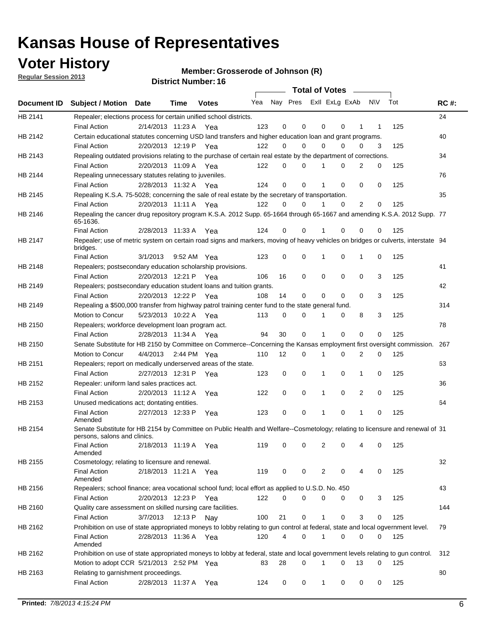## **Voter History**

**Member: Grosserode of Johnson (R)** 

**Regular Session 2013**

|             |                                                                                                                                              |          |                       |              |     |             | <b>Total of Votes</b>   |              |   | $\sim 100$ m $^{-1}$ |           |     |             |
|-------------|----------------------------------------------------------------------------------------------------------------------------------------------|----------|-----------------------|--------------|-----|-------------|-------------------------|--------------|---|----------------------|-----------|-----|-------------|
| Document ID | <b>Subject / Motion Date</b>                                                                                                                 |          | Time                  | <b>Votes</b> | Yea |             | Nay Pres ExII ExLg ExAb |              |   |                      | <b>NV</b> | Tot | <b>RC#:</b> |
| HB 2141     | Repealer; elections process for certain unified school districts.                                                                            |          |                       |              |     |             |                         |              |   |                      |           |     | 24          |
|             | <b>Final Action</b>                                                                                                                          |          | 2/14/2013 11:23 A Yea |              | 123 | 0           | 0                       | 0            | 0 | 1                    | 1         | 125 |             |
| HB 2142     | Certain educational statutes concerning USD land transfers and higher education loan and grant programs.                                     |          |                       |              |     |             |                         |              |   |                      |           |     | 40          |
|             | <b>Final Action</b>                                                                                                                          |          | 2/20/2013 12:19 P Yea |              | 122 | 0           | 0                       | $\Omega$     | 0 | $\Omega$             | 3         | 125 |             |
| HB 2143     | Repealing outdated provisions relating to the purchase of certain real estate by the department of corrections.                              |          |                       |              |     |             |                         |              |   |                      |           |     | 34          |
|             | <b>Final Action</b>                                                                                                                          |          | 2/20/2013 11:09 A Yea |              | 122 | 0           | 0                       | 1            | 0 | $\overline{2}$       | 0         | 125 |             |
| HB 2144     | Repealing unnecessary statutes relating to juveniles.                                                                                        |          |                       |              |     |             |                         |              |   |                      |           |     | 76          |
|             | <b>Final Action</b>                                                                                                                          |          | 2/28/2013 11:32 A Yea |              | 124 | $\mathbf 0$ | 0                       | 1            | 0 | 0                    | 0         | 125 |             |
| HB 2145     | Repealing K.S.A. 75-5028; concerning the sale of real estate by the secretary of transportation.                                             |          |                       |              |     |             |                         |              |   |                      |           |     | 35          |
|             | <b>Final Action</b>                                                                                                                          |          | 2/20/2013 11:11 A Yea |              | 122 | 0           | 0                       | 1            | 0 | 2                    | 0         | 125 |             |
| HB 2146     | Repealing the cancer drug repository program K.S.A. 2012 Supp. 65-1664 through 65-1667 and amending K.S.A. 2012 Supp. 77<br>65-1636.         |          |                       |              |     |             |                         |              |   |                      |           |     |             |
|             | <b>Final Action</b>                                                                                                                          |          | 2/28/2013 11:33 A     | Yea          | 124 | 0           | 0                       | 1            | 0 | 0                    | 0         | 125 |             |
| HB 2147     | Repealer; use of metric system on certain road signs and markers, moving of heavy vehicles on bridges or culverts, interstate 94<br>bridges. |          |                       |              |     |             |                         |              |   |                      |           |     |             |
|             | <b>Final Action</b>                                                                                                                          | 3/1/2013 |                       | 9:52 AM Yea  | 123 | $\mathbf 0$ | 0                       |              | 0 | 1                    | 0         | 125 |             |
| HB 2148     | Repealers; postsecondary education scholarship provisions.                                                                                   |          |                       |              |     |             |                         |              |   |                      |           |     | 41          |
|             | <b>Final Action</b>                                                                                                                          |          | 2/20/2013 12:21 P     | Yea          | 106 | 16          | 0                       | $\mathbf 0$  | 0 | $\mathbf 0$          | 3         | 125 |             |
| HB 2149     | Repealers; postsecondary education student loans and tuition grants.                                                                         |          |                       |              |     |             |                         |              |   |                      |           |     | 42          |
|             | <b>Final Action</b>                                                                                                                          |          | 2/20/2013 12:22 P     | Yea          | 108 | 14          | 0                       | 0            | 0 | $\Omega$             | 3         | 125 |             |
| HB 2149     | Repealing a \$500,000 transfer from highway patrol training center fund to the state general fund.                                           |          |                       |              |     |             |                         |              |   |                      |           |     | 314         |
|             | Motion to Concur                                                                                                                             |          | 5/23/2013 10:22 A Yea |              | 113 | 0           | 0                       |              | 0 | 8                    | 3         | 125 |             |
| HB 2150     | Repealers; workforce development loan program act.                                                                                           |          |                       |              |     |             |                         |              |   |                      |           |     | 78          |
|             | <b>Final Action</b>                                                                                                                          |          | 2/28/2013 11:34 A Yea |              | 94  | 30          | 0                       | 1            | 0 | 0                    | 0         | 125 |             |
| HB 2150     | Senate Substitute for HB 2150 by Committee on Commerce--Concerning the Kansas employment first oversight commission.                         |          |                       |              |     |             |                         |              |   |                      |           |     | 267         |
|             | Motion to Concur                                                                                                                             |          | 4/4/2013 2:44 PM Yea  |              | 110 | 12          | 0                       | 1            | 0 | 2                    | 0         | 125 |             |
| HB 2151     | Repealers; report on medically underserved areas of the state.                                                                               |          |                       |              |     |             |                         |              |   |                      |           |     | 63          |
|             | <b>Final Action</b>                                                                                                                          |          | 2/27/2013 12:31 P     | Yea          | 123 | 0           | 0                       | 1            | 0 | 1                    | 0         | 125 |             |
| HB 2152     | Repealer: uniform land sales practices act.                                                                                                  |          |                       |              |     |             |                         |              |   |                      |           |     | 36          |
|             | <b>Final Action</b>                                                                                                                          |          | 2/20/2013 11:12 A     | Yea          | 122 | 0           | 0                       | 1            | 0 | 2                    | 0         | 125 |             |
| HB 2153     | Unused medications act; dontating entities.                                                                                                  |          |                       |              |     |             |                         |              |   |                      |           |     | 64          |
|             | <b>Final Action</b><br>Amended                                                                                                               |          | 2/27/2013 12:33 P     | Yea          | 123 | 0           | 0                       | 1            | 0 | $\mathbf{1}$         | 0         | 125 |             |
| HB 2154     | Senate Substitute for HB 2154 by Committee on Public Health and Welfare--Cosmetology; relating to licensure and renewal of 31                |          |                       |              |     |             |                         |              |   |                      |           |     |             |
|             | persons, salons and clinics.<br><b>Final Action</b><br>Amended                                                                               |          | 2/18/2013 11:19 A     | Yea          | 119 | 0           | 0                       | 2            | 0 | 4                    | 0         | 125 |             |
| HB 2155     | Cosmetology; relating to licensure and renewal.                                                                                              |          |                       |              |     |             |                         |              |   |                      |           |     | 32          |
|             | <b>Final Action</b>                                                                                                                          |          | 2/18/2013 11:21 A Yea |              | 119 | 0           | 0                       | 2            | 0 |                      | 0         | 125 |             |
|             | Amended                                                                                                                                      |          |                       |              |     |             |                         |              |   |                      |           |     |             |
| HB 2156     | Repealers; school finance; area vocational school fund; local effort as applied to U.S.D. No. 450                                            |          |                       |              |     |             |                         |              |   |                      |           |     | 43          |
|             | <b>Final Action</b>                                                                                                                          |          | 2/20/2013 12:23 P     | Yea          | 122 | 0           | 0                       | 0            | 0 | 0                    | 3         | 125 |             |
| HB 2160     | Quality care assessment on skilled nursing care facilities.                                                                                  |          |                       |              |     |             |                         |              |   |                      |           |     | 144         |
|             | <b>Final Action</b>                                                                                                                          | 3/7/2013 | 12:13 P               | Nav          | 100 | 21          | 0                       | 1            | 0 | 3                    | 0         | 125 |             |
| HB 2162     | Prohibition on use of state appropriated moneys to lobby relating to gun control at federal, state and local ogvernment level.               |          |                       |              |     |             |                         |              |   |                      |           |     | 79          |
|             | <b>Final Action</b><br>Amended                                                                                                               |          | 2/28/2013 11:36 A Yea |              | 120 | 4           | 0                       | 1            | 0 | 0                    | 0         | 125 |             |
| HB 2162     | Prohibition on use of state appropriated moneys to lobby at federal, state and local government levels relating to gun control.              |          |                       |              |     |             |                         |              |   |                      |           |     | 312         |
|             | Motion to adopt CCR 5/21/2013 2:52 PM Yea                                                                                                    |          |                       |              | 83  | 28          | 0                       |              | 0 | 13                   | 0         | 125 |             |
| HB 2163     | Relating to garnishment proceedings.                                                                                                         |          |                       |              |     |             |                         |              |   |                      |           |     | 80          |
|             | <b>Final Action</b>                                                                                                                          |          | 2/28/2013 11:37 A Yea |              | 124 | 0           | 0                       | $\mathbf{1}$ | 0 | 0                    | 0         | 125 |             |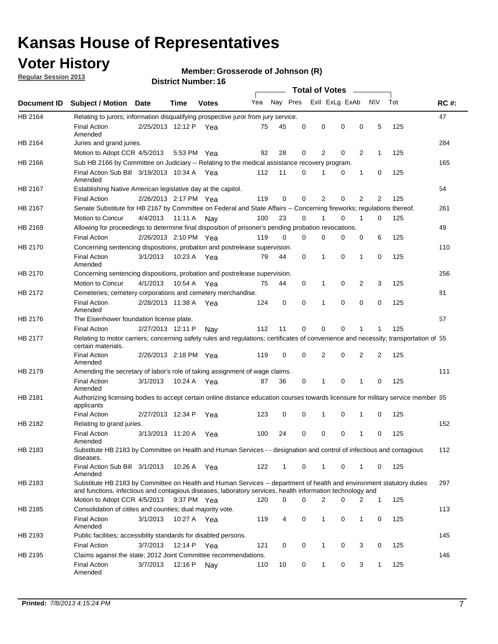## **Voter History**

**Member: Grosserode of Johnson (R)** 

**Regular Session 2013**

|                |                                                                                                                                                                                                                                    |                       |             |              |     |          |          | <b>Total of Votes</b> |   |              |              |     |             |
|----------------|------------------------------------------------------------------------------------------------------------------------------------------------------------------------------------------------------------------------------------|-----------------------|-------------|--------------|-----|----------|----------|-----------------------|---|--------------|--------------|-----|-------------|
| Document ID    | Subject / Motion Date                                                                                                                                                                                                              |                       | Time        | <b>Votes</b> | Yea | Nay Pres |          | Exll ExLg ExAb        |   |              | <b>NV</b>    | Tot | <b>RC#:</b> |
| HB 2164        | Relating to jurors; information disqualifying prospective juror from jury service.                                                                                                                                                 |                       |             |              |     |          |          |                       |   |              |              |     | 47          |
|                | <b>Final Action</b><br>Amended                                                                                                                                                                                                     | 2/25/2013 12:12 P Yea |             |              | 75  | 45       | 0        | 0                     | 0 | 0            | 5            | 125 |             |
| HB 2164        | Juries and grand juries.                                                                                                                                                                                                           |                       |             |              |     |          | 0        |                       |   |              |              |     | 284         |
|                | Motion to Adopt CCR 4/5/2013                                                                                                                                                                                                       |                       |             | 5:53 PM Yea  | 92  | 28       |          | 2                     | 0 | 2            | $\mathbf{1}$ | 125 |             |
| HB 2166        | Sub HB 2166 by Committee on Judiciary -- Relating to the medical assistance recovery program.                                                                                                                                      |                       |             |              |     |          |          |                       |   |              |              |     | 165         |
|                | Final Action Sub Bill 3/19/2013 10:34 A Yea<br>Amended                                                                                                                                                                             |                       |             |              | 112 | 11       | 0        |                       | 0 | 1            | 0            | 125 |             |
| HB 2167        | Establishing Native American legislative day at the capitol.                                                                                                                                                                       |                       |             |              |     |          |          |                       |   |              |              |     | 54          |
|                | <b>Final Action</b>                                                                                                                                                                                                                | 2/26/2013 2:17 PM Yea |             |              | 119 | 0        | 0        | 2                     | 0 | 2            | 2            | 125 |             |
| HB 2167        | Senate Substitute for HB 2167 by Committee on Federal and State Affairs -- Concerning fireworks; regulations thereof.                                                                                                              |                       |             |              |     |          |          |                       |   |              |              |     | 261         |
|                | Motion to Concur                                                                                                                                                                                                                   | 4/4/2013 11:11 A Nay  |             |              | 100 | 23       | $\Omega$ |                       | 0 | 1            | $\Omega$     | 125 |             |
| HB 2169        | Allowing for proceedings to determine final disposition of prisoner's pending probation revocations.                                                                                                                               |                       |             |              |     |          |          |                       |   |              |              |     | 49          |
|                | <b>Final Action</b>                                                                                                                                                                                                                | 2/26/2013 2:10 PM Yea |             |              | 119 | $\Omega$ | $\Omega$ | 0                     | 0 | 0            | 6            | 125 |             |
| HB 2170        | Concerning sentencing dispositions, probation and postrelease supervision.                                                                                                                                                         |                       |             |              |     |          |          |                       |   |              |              |     | 110         |
|                | <b>Final Action</b><br>Amended                                                                                                                                                                                                     | 3/1/2013              |             | 10:23 A Yea  | 79  | 44       | 0        | 1                     | 0 | $\mathbf{1}$ | 0            | 125 |             |
| <b>HB 2170</b> | Concerning sentencing dispositions, probation and postrelease supervision.                                                                                                                                                         |                       |             |              |     |          |          |                       |   |              |              |     | 256         |
|                | Motion to Concur                                                                                                                                                                                                                   | 4/1/2013              | 10:54 A     | Yea          | 75  | 44       | 0        | 1                     | 0 | 2            | 3            | 125 |             |
| HB 2172        | Cemeteries; cemetery corporations and cemetery merchandise.                                                                                                                                                                        |                       |             |              |     |          |          |                       |   |              |              |     | 81          |
|                | <b>Final Action</b><br>Amended                                                                                                                                                                                                     | 2/28/2013 11:38 A     |             | Yea          | 124 | 0        | 0        | 1                     | 0 | 0            | 0            | 125 |             |
| HB 2176        | The Eisenhower foundation license plate.                                                                                                                                                                                           |                       |             |              |     |          |          |                       |   |              |              |     | 57          |
|                | <b>Final Action</b>                                                                                                                                                                                                                | 2/27/2013 12:11 P     |             | Nav          | 112 | 11       | 0        | 0                     | 0 |              |              | 125 |             |
| HB 2177        | Relating to motor carriers; concerning safety rules and regulations; certificates of convenience and necessity; transportation of 55<br>certain materials.                                                                         |                       |             |              |     |          |          |                       |   |              |              |     |             |
|                | <b>Final Action</b><br>Amended                                                                                                                                                                                                     | 2/26/2013 2:18 PM Yea |             |              | 119 | 0        | 0        | 2                     | 0 | 2            | 2            | 125 |             |
| HB 2179        | Amending the secretary of labor's role of taking assignment of wage claims.                                                                                                                                                        |                       |             |              |     |          |          |                       |   |              |              |     | 111         |
|                | <b>Final Action</b><br>Amended                                                                                                                                                                                                     | 3/1/2013              |             | 10:24 A Yea  | 87  | 36       | 0        | 1                     | 0 | 1            | 0            | 125 |             |
| HB 2181        | Authorizing licensing bodies to accept certain online distance education courses towards licensure for military service member 55<br>applicants                                                                                    |                       |             |              |     |          |          |                       |   |              |              |     |             |
|                | <b>Final Action</b>                                                                                                                                                                                                                | 2/27/2013 12:34 P     |             | Yea          | 123 | 0        | 0        | 1                     | 0 | 1            | 0            | 125 |             |
| HB 2182        | Relating to grand juries.                                                                                                                                                                                                          |                       |             |              |     |          |          |                       |   |              |              |     | 152         |
|                | <b>Final Action</b><br>Amended                                                                                                                                                                                                     | 3/13/2013 11:20 A     |             | Yea          | 100 | 24       | 0        | 0                     | 0 | 1            | 0            | 125 |             |
| HB 2183        | Substitute HB 2183 by Committee on Health and Human Services - - designation and control of infectious and contagious<br>diseases.                                                                                                 |                       |             |              |     |          |          |                       |   |              |              |     | 112         |
|                | Final Action Sub Bill 3/1/2013<br>Amended                                                                                                                                                                                          |                       |             | 10:26 A Yea  | 122 | 1        | 0        | $\mathbf{1}$          | 0 | 1            | 0            | 125 |             |
| HB 2183        | Substitute HB 2183 by Committee on Health and Human Services -- department of health and environment statutory duties<br>and functions, infectious and contagious diseases, laboratory services, health information technology and |                       |             |              |     |          |          |                       |   |              |              |     | 297         |
|                | Motion to Adopt CCR 4/5/2013                                                                                                                                                                                                       |                       |             | 9:37 PM Yea  | 120 | 0        | $\Omega$ | $\overline{2}$        | 0 | 2            | $\mathbf{1}$ | 125 |             |
| HB 2185        | Consolidation of citites and counties; dual majority vote.                                                                                                                                                                         |                       |             |              |     |          |          |                       |   |              |              |     | 113         |
|                | <b>Final Action</b><br>Amended                                                                                                                                                                                                     | 3/1/2013              |             | 10:27 A Yea  | 119 | 4        | 0        | 1                     | 0 | 1            | 0            | 125 |             |
| HB 2193        | Public facilities; accessiblity standards for disabled persons.                                                                                                                                                                    |                       |             |              |     |          |          |                       |   |              |              |     | 145         |
|                | <b>Final Action</b>                                                                                                                                                                                                                | 3/7/2013              | 12:14 P Yea |              | 121 | 0        | 0        | 1                     | 0 | 3            | 0            | 125 |             |
| HB 2195        | Claims against the state; 2012 Joint Committee recommendations.                                                                                                                                                                    |                       |             |              |     |          |          |                       |   |              |              |     | 146         |
|                | <b>Final Action</b><br>Amended                                                                                                                                                                                                     | 3/7/2013              | 12:16 P Nay |              | 110 | 10       | 0        | $\mathbf{1}$          | 0 | 3            | $\mathbf{1}$ | 125 |             |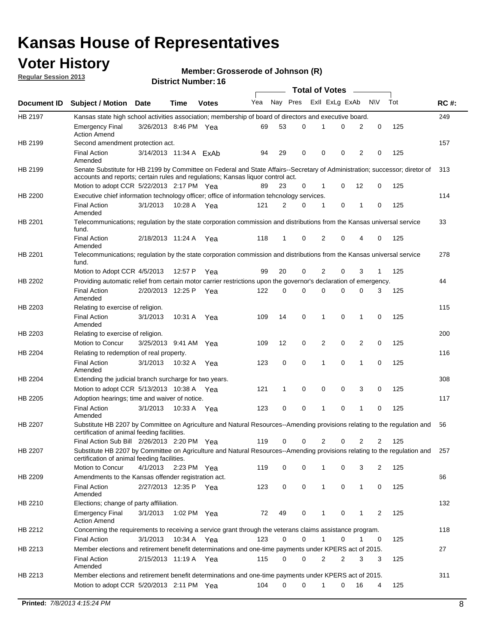## **Voter History**

**Member: Grosserode of Johnson (R)** 

**Regular Session 2013**

|             |                                                                                                                                                                                                                |                        |             |              |     |          |   | <b>Total of Votes</b> |   |                |                |     |             |
|-------------|----------------------------------------------------------------------------------------------------------------------------------------------------------------------------------------------------------------|------------------------|-------------|--------------|-----|----------|---|-----------------------|---|----------------|----------------|-----|-------------|
| Document ID | <b>Subject / Motion Date</b>                                                                                                                                                                                   |                        | Time        | <b>Votes</b> | Yea | Nay Pres |   | Exll ExLg ExAb        |   |                | <b>NV</b>      | Tot | <b>RC#:</b> |
| HB 2197     | Kansas state high school activities association; membership of board of directors and executive board.                                                                                                         |                        |             |              |     |          |   |                       |   |                |                |     | 249         |
|             | <b>Emergency Final</b><br><b>Action Amend</b>                                                                                                                                                                  | 3/26/2013 8:46 PM Yea  |             |              | 69  | 53       | 0 |                       | 0 | 2              | 0              | 125 |             |
| HB 2199     | Second amendment protection act.                                                                                                                                                                               |                        |             |              |     |          |   |                       |   |                |                |     | 157         |
|             | <b>Final Action</b><br>Amended                                                                                                                                                                                 | 3/14/2013 11:34 A ExAb |             |              | 94  | 29       | 0 | 0                     | 0 | 2              | 0              | 125 |             |
| HB 2199     | Senate Substitute for HB 2199 by Committee on Federal and State Affairs--Secretary of Administration; successor; diretor of<br>accounts and reports; certain rules and regulations; Kansas liquor control act. |                        |             |              |     |          |   |                       |   |                |                |     | 313         |
|             | Motion to adopt CCR 5/22/2013 2:17 PM Yea                                                                                                                                                                      |                        |             |              | 89  | 23       | 0 | 1                     | 0 | 12             | 0              | 125 |             |
| HB 2200     | Executive chief information technology officer; office of information tehcnology services.                                                                                                                     |                        |             |              |     |          |   |                       |   |                |                |     | 114         |
|             | <b>Final Action</b><br>Amended                                                                                                                                                                                 | 3/1/2013               | 10:28 A     | Yea          | 121 | 2        | 0 | 1                     | 0 | 1              | 0              | 125 |             |
| HB 2201     | Telecommunications; regulation by the state corporation commission and distributions from the Kansas universal service<br>fund.                                                                                |                        |             |              |     |          |   |                       |   |                |                |     | 33          |
|             | <b>Final Action</b><br>Amended                                                                                                                                                                                 | 2/18/2013 11:24 A Yea  |             |              | 118 | 1        | 0 | 2                     | 0 | 4              | 0              | 125 |             |
| HB 2201     | Telecommunications; regulation by the state corporation commission and distributions from the Kansas universal service<br>fund.                                                                                |                        |             |              |     |          |   |                       |   |                |                |     | 278         |
|             | Motion to Adopt CCR 4/5/2013                                                                                                                                                                                   |                        | 12:57 P     | Yea          | 99  | 20       | 0 | 2                     | 0 | 3              | $\mathbf{1}$   | 125 |             |
| HB 2202     | Providing automatic relief from certain motor carrier restrictions upon the governor's declaration of emergency.                                                                                               |                        |             |              |     |          |   |                       |   |                |                |     | 44          |
|             | <b>Final Action</b><br>Amended                                                                                                                                                                                 | 2/20/2013 12:25 P      |             | Yea          | 122 | 0        | 0 | 0                     | 0 | 0              | 3              | 125 |             |
| HB 2203     | Relating to exercise of religion.                                                                                                                                                                              |                        |             |              |     |          |   |                       |   |                |                |     | 115         |
|             | <b>Final Action</b><br>Amended                                                                                                                                                                                 | 3/1/2013               |             | 10:31 A Yea  | 109 | 14       | 0 | 1                     | 0 | 1              | 0              | 125 |             |
| HB 2203     | Relating to exercise of religion.                                                                                                                                                                              |                        |             |              |     |          |   |                       |   |                |                |     | 200         |
|             | Motion to Concur                                                                                                                                                                                               | 3/25/2013 9:41 AM      |             | Yea          | 109 | 12       | 0 | 2                     | 0 | 2              | 0              | 125 |             |
| HB 2204     | Relating to redemption of real property.                                                                                                                                                                       |                        |             |              |     |          |   |                       |   |                |                |     | 116         |
|             | <b>Final Action</b><br>Amended                                                                                                                                                                                 | 3/1/2013               | 10:32 A     | Yea          | 123 | 0        | 0 | 1                     | 0 | $\mathbf{1}$   | 0              | 125 |             |
| HB 2204     | Extending the judicial branch surcharge for two years.                                                                                                                                                         |                        |             |              |     |          |   |                       |   |                |                |     | 308         |
|             | Motion to adopt CCR 5/13/2013 10:38 A                                                                                                                                                                          |                        |             | Yea          | 121 | 1        | 0 | 0                     | 0 | 3              | 0              | 125 |             |
| HB 2205     | Adoption hearings; time and waiver of notice.                                                                                                                                                                  |                        |             |              |     |          |   |                       |   |                |                |     | 117         |
|             | <b>Final Action</b><br>Amended                                                                                                                                                                                 | 3/1/2013               | 10:33 A     | Yea          | 123 | 0        | 0 | 1                     | 0 | 1              | 0              | 125 |             |
| HB 2207     | Substitute HB 2207 by Committee on Agriculture and Natural Resources--Amending provisions relating to the regulation and<br>certification of animal feeding facilities.                                        |                        |             |              |     |          |   |                       |   |                |                |     | 56          |
|             | Final Action Sub Bill 2/26/2013 2:20 PM Yea                                                                                                                                                                    |                        |             |              | 119 | 0        | 0 | 2                     | 0 | $\overline{2}$ | $\overline{2}$ | 125 |             |
| HB 2207     | Substitute HB 2207 by Committee on Agriculture and Natural Resources--Amending provisions relating to the regulation and 257<br>certification of animal feeding facilities.                                    |                        |             |              |     |          |   |                       |   |                |                |     |             |
|             | Motion to Concur                                                                                                                                                                                               | 4/1/2013               | 2:23 PM Yea |              | 119 | 0        | 0 | 1                     | 0 | 3              | 2              | 125 |             |
| HB 2209     | Amendments to the Kansas offender registration act.                                                                                                                                                            |                        |             |              |     |          |   |                       |   |                |                |     | 66          |
|             | <b>Final Action</b><br>Amended                                                                                                                                                                                 | 2/27/2013 12:35 P Yea  |             |              | 123 | 0        | 0 | $\mathbf{1}$          | 0 | $\mathbf{1}$   | 0              | 125 |             |
| HB 2210     | Elections; change of party affiliation.                                                                                                                                                                        |                        |             |              |     |          |   |                       |   |                |                |     | 132         |
|             | <b>Emergency Final</b><br><b>Action Amend</b>                                                                                                                                                                  | 3/1/2013               | 1:02 PM Yea |              | 72  | 49       | 0 | 1                     | 0 | 1              | 2              | 125 |             |
| HB 2212     | Concerning the requirements to receiving a service grant through the veterans claims assistance program.                                                                                                       |                        |             |              |     |          |   |                       |   |                |                |     | 118         |
|             | <b>Final Action</b>                                                                                                                                                                                            | 3/1/2013               | 10:34 A Yea |              | 123 | 0        | 0 | $\mathbf{1}$          | 0 | 1              | 0              | 125 |             |
| HB 2213     | Member elections and retirement benefit determinations and one-time payments under KPERS act of 2015.                                                                                                          |                        |             |              |     |          |   |                       |   |                |                |     | 27          |
|             | <b>Final Action</b><br>Amended                                                                                                                                                                                 | 2/15/2013 11:19 A Yea  |             |              | 115 | 0        | 0 | 2                     | 2 | 3              | 3              | 125 |             |
| HB 2213     | Member elections and retirement benefit determinations and one-time payments under KPERS act of 2015.                                                                                                          |                        |             |              |     |          |   |                       |   |                |                |     | 311         |
|             | Motion to adopt CCR 5/20/2013 2:11 PM Yea                                                                                                                                                                      |                        |             |              | 104 | 0        | 0 | 1                     | 0 | 16             | 4              | 125 |             |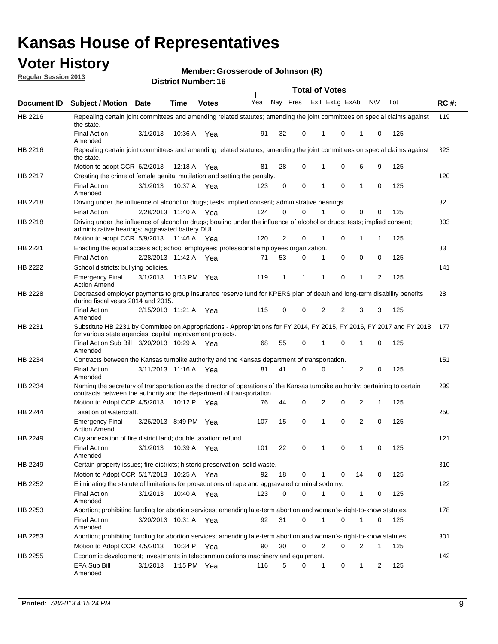## **Voter History**

**Member: Grosserode of Johnson (R)** 

**Regular Session 2013**

|                |                                                                                                                                                                                                       |                       |             |               |                             |    |             | <b>Total of Votes</b> |          | $\sim$ 100 $\mu$ |              |     |             |
|----------------|-------------------------------------------------------------------------------------------------------------------------------------------------------------------------------------------------------|-----------------------|-------------|---------------|-----------------------------|----|-------------|-----------------------|----------|------------------|--------------|-----|-------------|
| Document ID    | Subject / Motion Date                                                                                                                                                                                 |                       | <b>Time</b> | <b>Votes</b>  | Yea Nay Pres ExII ExLg ExAb |    |             |                       |          |                  | N\V          | Tot | <b>RC#:</b> |
| HB 2216        | Repealing certain joint committees and amending related statutes; amending the joint committees on special claims against<br>the state.                                                               |                       |             |               |                             |    |             |                       |          |                  |              |     | 119         |
|                | <b>Final Action</b><br>Amended                                                                                                                                                                        | 3/1/2013              | 10:36 A     | Yea           | 91                          | 32 | 0           | 1                     | 0        | 1                | 0            | 125 |             |
| HB 2216        | Repealing certain joint committees and amending related statutes; amending the joint committees on special claims against<br>the state.                                                               |                       |             |               |                             |    |             |                       |          |                  |              |     | 323         |
|                | Motion to adopt CCR 6/2/2013                                                                                                                                                                          |                       | 12:18 A     | Yea           | 81                          | 28 | 0           | 1                     | 0        | 6                | 9            | 125 |             |
| HB 2217        | Creating the crime of female genital mutilation and setting the penalty.                                                                                                                              |                       |             |               |                             |    |             |                       |          |                  |              |     | 120         |
|                | <b>Final Action</b><br>Amended                                                                                                                                                                        | 3/1/2013              | 10:37 A Yea |               | 123                         | 0  | $\mathbf 0$ | 1                     | 0        | $\mathbf 1$      | 0            | 125 |             |
| HB 2218        | Driving under the influence of alcohol or drugs; tests; implied consent; administrative hearings.                                                                                                     |                       |             |               |                             |    |             |                       |          |                  |              |     | 82          |
|                | <b>Final Action</b>                                                                                                                                                                                   | 2/28/2013 11:40 A Yea |             |               | 124                         | 0  | $\Omega$    |                       | 0        | 0                | 0            | 125 |             |
| HB 2218        | Driving under the influence of alcohol or drugs; boating under the influence of alcohol or drugs; tests; implied consent;<br>administrative hearings; aggravated battery DUI.                         |                       |             |               |                             |    |             |                       |          |                  |              |     | 303         |
|                | Motion to adopt CCR 5/9/2013                                                                                                                                                                          |                       | 11:46 A Yea |               | 120                         | 2  | 0           | 1                     | 0        | 1                | $\mathbf{1}$ | 125 |             |
| HB 2221        | Enacting the equal access act; school employees; professional employees organization.                                                                                                                 |                       |             |               |                             |    |             |                       |          |                  |              |     | 83          |
|                | <b>Final Action</b>                                                                                                                                                                                   | 2/28/2013 11:42 A Yea |             |               | 71                          | 53 | 0           | 1                     | 0        | 0                | 0            | 125 |             |
| HB 2222        | School districts; bullying policies.<br><b>Emergency Final</b>                                                                                                                                        | 3/1/2013              |             | 1:13 PM $Yea$ | 119                         | 1  | 1           | 1                     | 0        | 1                | 2            | 125 | 141         |
|                | <b>Action Amend</b>                                                                                                                                                                                   |                       |             |               |                             |    |             |                       |          |                  |              |     |             |
| HB 2228        | Decreased employer payments to group insurance reserve fund for KPERS plan of death and long-term disability benefits<br>during fiscal years 2014 and 2015.                                           |                       |             |               |                             |    |             |                       |          |                  |              |     | 28          |
|                | <b>Final Action</b><br>Amended                                                                                                                                                                        | 2/15/2013 11:21 A     |             | Yea           | 115                         | 0  | 0           | 2                     | 2        | 3                | 3            | 125 |             |
| HB 2231        | Substitute HB 2231 by Committee on Appropriations - Appropriations for FY 2014, FY 2015, FY 2016, FY 2017 and FY 2018 177<br>for various state agencies; capital improvement projects.                |                       |             |               |                             |    |             |                       |          |                  |              |     |             |
|                | Final Action Sub Bill 3/20/2013 10:29 A Yea<br>Amended                                                                                                                                                |                       |             |               | 68                          | 55 | 0           | 1                     | 0        | 1                | 0            | 125 |             |
| HB 2234        | Contracts between the Kansas turnpike authority and the Kansas department of transportation.                                                                                                          |                       |             |               |                             |    |             |                       |          |                  |              |     | 151         |
|                | <b>Final Action</b><br>Amended                                                                                                                                                                        | 3/11/2013 11:16 A     |             | Yea           | 81                          | 41 | 0           | 0                     | 1        | 2                | 0            | 125 |             |
| HB 2234        | Naming the secretary of transportation as the director of operations of the Kansas turnpike authority; pertaining to certain<br>contracts between the authority and the department of transportation. |                       |             |               |                             |    |             |                       |          |                  |              |     | 299         |
|                | Motion to Adopt CCR 4/5/2013                                                                                                                                                                          |                       |             | 10:12 P Yea   | 76                          | 44 | 0           | 2                     | 0        | 2                | 1            | 125 |             |
| <b>HB 2244</b> | Taxation of watercraft.<br><b>Emergency Final</b>                                                                                                                                                     | 3/26/2013 8:49 PM Yea |             |               | 107                         | 15 | 0           | 1                     | 0        | $\overline{2}$   | 0            | 125 | 250         |
|                | <b>Action Amend</b>                                                                                                                                                                                   |                       |             |               |                             |    |             |                       |          |                  |              |     |             |
| HB 2249        | City annexation of fire district land; double taxation; refund.                                                                                                                                       |                       |             |               |                             |    |             |                       |          |                  |              |     | 121         |
|                | Final Action<br>Amended                                                                                                                                                                               | 3/1/2013 10:39 A Yea  |             |               | 101                         | 22 | $\Omega$    | $\mathbf{1}$          | $\Omega$ | $\mathbf 1$      | $\Omega$     | 125 |             |
| HB 2249        | Certain property issues; fire districts; historic preservation; solid waste.                                                                                                                          |                       |             |               |                             |    |             |                       |          |                  |              |     | 310         |
|                | Motion to Adopt CCR 5/17/2013 10:25 A Yea                                                                                                                                                             |                       |             |               | 92                          | 18 | 0           |                       | 0        | 14               | 0            | 125 |             |
| HB 2252        | Eliminating the statute of limitations for prosecutions of rape and aggravated criminal sodomy.                                                                                                       |                       |             |               |                             |    |             |                       |          |                  |              |     | 122         |
|                | <b>Final Action</b><br>Amended                                                                                                                                                                        | 3/1/2013              | 10:40 A Yea |               | 123                         | 0  | $\Omega$    |                       | 0        | 1                | 0            | 125 |             |
| HB 2253        | Abortion; prohibiting funding for abortion services; amending late-term abortion and woman's- right-to-know statutes.                                                                                 |                       |             |               |                             |    |             |                       |          |                  |              |     | 178         |
|                | <b>Final Action</b><br>Amended                                                                                                                                                                        | 3/20/2013 10:31 A Yea |             |               | 92                          | 31 | 0           | 1                     | 0        | 1                | 0            | 125 |             |
| HB 2253        | Abortion; prohibiting funding for abortion services; amending late-term abortion and woman's- right-to-know statutes.                                                                                 |                       |             |               |                             |    |             |                       |          |                  |              |     | 301         |
|                | Motion to Adopt CCR 4/5/2013                                                                                                                                                                          |                       | 10:34 P Yea |               | 90                          | 30 | 0           | 2                     | 0        | 2                | 1            | 125 |             |
| HB 2255        | Economic development; investments in telecommunications machinery and equipment.                                                                                                                      |                       |             |               |                             |    |             |                       |          |                  |              |     | 142         |
|                | EFA Sub Bill<br>Amended                                                                                                                                                                               | 3/1/2013              |             | 1:15 PM Yea   | 116                         | 5  | 0           | 1                     | 0        | 1                | 2            | 125 |             |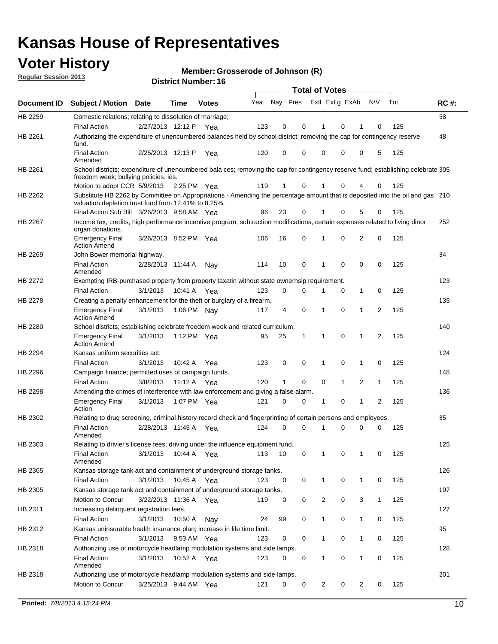## **Voter History**

**Member: Grosserode of Johnson (R)** 

**Regular Session 2013**

|             |                                                                                                                                                                                       |                       |             | DISTRICT MUTHDEL. TO |     |              |             | <b>Total of Votes</b> |                | $\sim$       |              |     |             |
|-------------|---------------------------------------------------------------------------------------------------------------------------------------------------------------------------------------|-----------------------|-------------|----------------------|-----|--------------|-------------|-----------------------|----------------|--------------|--------------|-----|-------------|
| Document ID | <b>Subject / Motion</b>                                                                                                                                                               | <b>Date</b>           | Time        | <b>Votes</b>         | Yea | Nay Pres     |             |                       | Exll ExLg ExAb |              | N\V          | Tot | <b>RC#:</b> |
| HB 2259     | Domestic relations; relating to dissolution of marriage;                                                                                                                              |                       |             |                      |     |              |             |                       |                |              |              |     | 58          |
|             | <b>Final Action</b>                                                                                                                                                                   | 2/27/2013 12:12 P     |             | Yea                  | 123 | 0            | 0           | 1                     | 0              | 1            | 0            | 125 |             |
| HB 2261     | Authorizing the expenditure of unencumbered balances held by school district; removing the cap for contingency reserve<br>fund.                                                       |                       |             |                      |     |              |             |                       |                |              |              |     | 48          |
|             | <b>Final Action</b><br>Amended                                                                                                                                                        | 2/25/2013 12:13 P     |             | Yea                  | 120 | 0            | 0           | 0                     | 0              | 0            | 5            | 125 |             |
| HB 2261     | School districts; expenditure of unencumbered bala ces; removing the cap for contingency reserve fund; establishing celebrate 305<br>freedom week; bullying policies. ies.            |                       |             |                      |     |              |             |                       |                |              |              |     |             |
|             | Motion to adopt CCR 5/9/2013 2:25 PM Yea                                                                                                                                              |                       |             |                      | 119 | 1            | 0           |                       | 0              | 4            | 0            | 125 |             |
| HB 2262     | Substitute HB 2262 by Committee on Appropriations - Amending the percentage amount that is deposited into the oil and gas 210<br>valuation depletion trust fund from 12.41% to 8.25%. |                       |             |                      |     |              |             |                       |                |              |              |     |             |
|             | Final Action Sub Bill 3/26/2013 9:58 AM Yea                                                                                                                                           |                       |             |                      | 96  | 23           | 0           | 1                     | 0              | 5            | 0            | 125 |             |
| HB 2267     | Income tax, credits, high performance incentive program; subtraction modifications, certain expenses related to living dinor<br>organ donations.                                      |                       |             |                      |     |              |             |                       |                |              |              |     | 252         |
|             | <b>Emergency Final</b><br><b>Action Amend</b>                                                                                                                                         | 3/26/2013 8:52 PM Yea |             |                      | 106 | 16           | 0           | 1                     | 0              | 2            | 0            | 125 |             |
| HB 2269     | John Bower memorial highway.                                                                                                                                                          |                       |             |                      |     |              |             |                       |                |              |              |     | 84          |
|             | <b>Final Action</b><br>Amended                                                                                                                                                        | 2/28/2013 11:44 A     |             | Nav                  | 114 | 10           | 0           | 1                     | 0              | 0            | 0            | 125 |             |
| HB 2272     | Exempting IRB-purchased property from property taxatin without state ownerhsip requirement.                                                                                           |                       |             |                      |     |              |             |                       |                |              |              |     | 123         |
|             | <b>Final Action</b>                                                                                                                                                                   | 3/1/2013              | 10:41 A Yea |                      | 123 | 0            | 0           | 1                     | 0              | 1            | 0            | 125 |             |
| HB 2278     | Creating a penalty enhancement for the theft or burglary of a firearm.                                                                                                                |                       |             |                      |     |              |             |                       |                |              |              |     | 135         |
|             | Emergency Final<br><b>Action Amend</b>                                                                                                                                                | 3/1/2013              | 1:06 PM Nay |                      | 117 | 4            | $\mathbf 0$ | 1                     | 0              | 1            | 2            | 125 |             |
| HB 2280     | School districts; establishing celebrate freedom week and related curriculum.                                                                                                         |                       |             |                      |     |              |             |                       |                |              |              |     | 140         |
|             | <b>Emergency Final</b><br><b>Action Amend</b>                                                                                                                                         | 3/1/2013              | 1:12 PM Yea |                      | 95  | 25           | 1           | 1                     | 0              | $\mathbf 1$  | 2            | 125 |             |
| HB 2294     | Kansas uniform securities act.                                                                                                                                                        |                       |             |                      |     |              |             |                       |                |              |              |     | 124         |
|             | <b>Final Action</b>                                                                                                                                                                   | 3/1/2013              | 10:42 A     | Yea                  | 123 | 0            | 0           | 1                     | 0              | 1            | 0            | 125 |             |
| HB 2296     | Campaign finance; permitted uses of campaign funds.                                                                                                                                   |                       |             |                      |     |              |             |                       |                |              |              |     | 148         |
|             | <b>Final Action</b>                                                                                                                                                                   | 3/8/2013              | 11:12A      | Yea                  | 120 | $\mathbf{1}$ | 0           | 0                     | $\mathbf{1}$   | 2            | $\mathbf{1}$ | 125 |             |
| HB 2298     | Amending the crimes of interference with law enforcement and giving a false alarm.                                                                                                    |                       |             |                      |     |              |             |                       |                |              |              |     | 136         |
|             | <b>Emergency Final</b><br>Action                                                                                                                                                      | 3/1/2013              | 1:07 PM Yea |                      | 121 | 0            | 0           | 1                     | 0              | 1            | 2            | 125 |             |
| HB 2302     | Relating to drug screening, criminal history record check and fingerprinting of certain persons and employees.                                                                        |                       |             |                      |     |              |             |                       |                |              |              |     | 85          |
|             | <b>Final Action</b><br>Amended                                                                                                                                                        | 2/28/2013 11:45 A     |             | Yea                  | 124 | 0            | $\Omega$    |                       | 0              | $\Omega$     | $\Omega$     | 125 |             |
| HB 2303     | Relating to drivier's license fees; driving under the influence equipment fund.                                                                                                       |                       |             |                      |     |              |             |                       |                |              |              |     | 125         |
|             | <b>Final Action</b><br>Amended                                                                                                                                                        | 3/1/2013              | 10:44 A Yea |                      | 113 | 10           | 0           |                       | 0              | 1            | 0            | 125 |             |
| HB 2305     | Kansas storage tank act and containment of underground storage tanks.                                                                                                                 |                       |             |                      |     |              |             |                       |                |              |              |     | 126         |
|             | <b>Final Action</b>                                                                                                                                                                   | 3/1/2013              | 10:45 A     | Yea                  | 123 | 0            | 0           | $\mathbf{1}$          | 0              | $\mathbf{1}$ | 0            | 125 |             |
| HB 2305     | Kansas storage tank act and containment of underground storage tanks.                                                                                                                 |                       |             |                      |     |              |             |                       |                |              |              |     | 197         |
|             | Motion to Concur                                                                                                                                                                      | 3/22/2013 11:36 A     |             | Yea                  | 119 | 0            | 0           | 2                     | 0              | 3            | $\mathbf{1}$ | 125 |             |
| HB 2311     | Increasing delinquent registration fees.                                                                                                                                              |                       |             |                      |     |              |             |                       |                |              |              |     | 127         |
|             | <b>Final Action</b>                                                                                                                                                                   | 3/1/2013              | 10:50 A     | Nay                  | 24  | 99           | 0           | $\mathbf{1}$          | 0              | 1            | 0            | 125 |             |
| HB 2312     | Kansas uninsurable health insurance plan; increase in life time limit.                                                                                                                |                       |             |                      |     |              |             |                       |                |              |              |     | 95          |
|             | <b>Final Action</b>                                                                                                                                                                   | 3/1/2013              | 9:53 AM Yea |                      | 123 | 0            | 0           | $\mathbf{1}$          | 0              | 1            | 0            | 125 |             |
| HB 2318     | Authorizing use of motorcycle headlamp modulation systems and side lamps.                                                                                                             |                       |             |                      |     |              |             |                       |                |              |              |     | 128         |
|             | <b>Final Action</b><br>Amended                                                                                                                                                        | 3/1/2013              | 10:52 A Yea |                      | 123 | 0            | 0           | 1                     | 0              | 1            | 0            | 125 |             |
| HB 2318     | Authorizing use of motorcycle headlamp modulation systems and side lamps.                                                                                                             |                       |             |                      |     |              |             |                       |                |              |              |     | 201         |
|             | Motion to Concur                                                                                                                                                                      | 3/25/2013 9:44 AM Yea |             |                      | 121 | 0            | 0           | 2                     | 0              | 2            | 0            | 125 |             |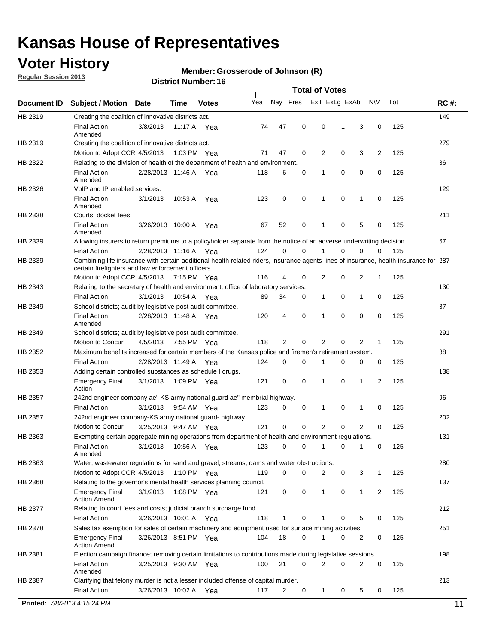## **Voter History**

**Regular Session 2013**

#### **Member: Grosserode of Johnson (R)**

|             |                                                                                                                                                                                             |                       |             |               |     |             |             | <b>Total of Votes</b> |             |                |             |     |             |
|-------------|---------------------------------------------------------------------------------------------------------------------------------------------------------------------------------------------|-----------------------|-------------|---------------|-----|-------------|-------------|-----------------------|-------------|----------------|-------------|-----|-------------|
| Document ID | <b>Subject / Motion</b>                                                                                                                                                                     | Date                  | Time        | <b>Votes</b>  | Yea | Nay Pres    |             | Exll ExLg ExAb        |             |                | <b>NV</b>   | Tot | <b>RC#:</b> |
| HB 2319     | Creating the coalition of innovative districts act.                                                                                                                                         |                       |             |               |     |             |             |                       |             |                |             |     | 149         |
|             | <b>Final Action</b><br>Amended                                                                                                                                                              | 3/8/2013              | 11:17 A     | Yea           | 74  | 47          | 0           | 0                     | 1           | 3              | 0           | 125 |             |
| HB 2319     | Creating the coalition of innovative districts act.<br>Motion to Adopt CCR 4/5/2013                                                                                                         |                       |             | 1:03 PM Yea   | 71  | 47          | 0           | 2                     | 0           | 3              | 2           | 125 | 279         |
| HB 2322     | Relating to the division of health of the department of health and environment.                                                                                                             |                       |             |               |     |             |             |                       |             |                |             |     | 86          |
|             | <b>Final Action</b><br>Amended                                                                                                                                                              | 2/28/2013 11:46 A Yea |             |               | 118 | 6           | 0           | 1                     | 0           | 0              | 0           | 125 |             |
| HB 2326     | VoIP and IP enabled services.                                                                                                                                                               |                       |             |               |     |             |             |                       |             |                |             |     | 129         |
|             | <b>Final Action</b><br>Amended                                                                                                                                                              | 3/1/2013              | 10:53 A     | Yea           | 123 | $\mathbf 0$ | 0           | 1                     | $\mathbf 0$ | 1              | $\mathbf 0$ | 125 |             |
| HB 2338     | Courts; docket fees.                                                                                                                                                                        |                       |             |               |     |             |             |                       |             |                |             |     | 211         |
|             | <b>Final Action</b><br>Amended                                                                                                                                                              | 3/26/2013 10:00 A     |             | Yea           | 67  | 52          | 0           | $\mathbf 1$           | 0           | 5              | 0           | 125 |             |
| HB 2339     | Allowing insurers to return premiums to a policyholder separate from the notice of an adverse underwriting decision.                                                                        |                       |             |               |     |             |             |                       |             |                |             |     | 67          |
|             | <b>Final Action</b>                                                                                                                                                                         | 2/28/2013 11:16 A Yea |             |               | 124 | 0           | 0           | 1                     | 0           | 0              | 0           | 125 |             |
| HB 2339     | Combining life insurance with certain additional health related riders, insurance agents-lines of insurance, health insurance for 287<br>certain firefighters and law enforcement officers. |                       |             |               |     |             |             |                       |             |                |             |     |             |
|             | Motion to Adopt CCR 4/5/2013 7:15 PM Yea                                                                                                                                                    |                       |             |               | 116 | 4           | 0           | 2                     | 0           | 2              | 1           | 125 |             |
| HB 2343     | Relating to the secretary of health and environment; office of laboratory services.                                                                                                         |                       |             |               |     |             |             |                       |             |                |             |     | 130         |
|             | <b>Final Action</b>                                                                                                                                                                         | 3/1/2013              | 10:54 A Yea |               | 89  | 34          | 0           | $\mathbf{1}$          | 0           | 1              | 0           | 125 |             |
| HB 2349     | School districts; audit by legislative post audit committee.<br><b>Final Action</b>                                                                                                         | 2/28/2013 11:48 A Yea |             |               | 120 | 4           | 0           | 1                     | $\Omega$    | $\Omega$       | 0           | 125 | 87          |
|             | Amended                                                                                                                                                                                     |                       |             |               |     |             |             |                       |             |                |             |     |             |
| HB 2349     | School districts; audit by legislative post audit committee.                                                                                                                                |                       |             |               |     |             |             |                       |             |                |             |     | 291         |
|             | Motion to Concur                                                                                                                                                                            | 4/5/2013              |             | 7:55 PM Yea   | 118 | 2           | 0           | 2                     | 0           | 2              | 1           | 125 |             |
| HB 2352     | Maximum benefits increased for certain members of the Kansas police and firemen's retirement system.                                                                                        |                       |             |               |     |             |             | 1                     |             |                |             |     | 88          |
|             | <b>Final Action</b>                                                                                                                                                                         | 2/28/2013 11:49 A     |             | Yea           | 124 | 0           | 0           |                       | 0           | 0              | 0           | 125 |             |
| HB 2353     | Adding certain controlled substances as schedule I drugs.<br><b>Emergency Final</b><br>Action                                                                                               | 3/1/2013              |             | 1:09 PM Yea   | 121 | $\mathbf 0$ | $\mathbf 0$ | 1                     | 0           | 1              | 2           | 125 | 138         |
| HB 2357     | 242nd engineer company ae" KS army national guard ae" membrial highway.                                                                                                                     |                       |             |               |     |             |             |                       |             |                |             |     | 96          |
|             | <b>Final Action</b>                                                                                                                                                                         | 3/1/2013              |             | 9:54 AM Yea   | 123 | 0           | 0           | 1                     | 0           | 1              | 0           | 125 |             |
| HB 2357     | 242nd engineer company-KS army national guard- highway.                                                                                                                                     |                       |             |               |     |             |             |                       |             |                |             |     | 202         |
|             | Motion to Concur                                                                                                                                                                            | 3/25/2013 9:47 AM Yea |             |               | 121 | $\mathbf 0$ | $\mathbf 0$ | $\overline{2}$        | $\mathbf 0$ | $\overline{2}$ | 0           | 125 |             |
| HB 2363     | Exempting certain aggregate mining operations from department of health and environment regulations.                                                                                        |                       |             |               |     |             |             |                       |             |                |             |     | 131         |
|             | <b>Final Action</b><br>Amended                                                                                                                                                              | 3/1/2013              | 10:56 A     | Yea           | 123 | 0           | 0           | 1                     | 0           | 1              | 0           | 125 |             |
| HB 2363     | Water; wastewater regulations for sand and gravel; streams, dams and water obstructions.                                                                                                    |                       |             |               |     |             |             |                       |             |                |             |     | 280         |
|             | Motion to Adopt CCR 4/5/2013                                                                                                                                                                |                       |             | 1:10 PM $Yea$ | 119 | 0           | 0           | 2                     | 0           | 3              | 1           | 125 |             |
| HB 2368     | Relating to the governor's mental health services planning council.                                                                                                                         |                       |             |               |     |             |             |                       |             |                |             |     | 137         |
|             | <b>Emergency Final</b><br><b>Action Amend</b>                                                                                                                                               | 3/1/2013              |             | 1:08 PM Yea   | 121 | 0           | 0           | $\mathbf{1}$          | 0           | 1              | 2           | 125 |             |
| HB 2377     | Relating to court fees and costs; judicial branch surcharge fund.                                                                                                                           |                       |             |               |     |             |             |                       |             |                |             |     | 212         |
|             | <b>Final Action</b>                                                                                                                                                                         | 3/26/2013 10:01 A Yea |             |               | 118 | 1           | 0           |                       | 0           | 5              | 0           | 125 |             |
| HB 2378     | Sales tax exemption for sales of certain machinery and equipment used for surface mining activities.                                                                                        |                       |             |               |     |             |             |                       |             |                |             |     | 251         |
|             | <b>Emergency Final</b><br><b>Action Amend</b>                                                                                                                                               | 3/26/2013 8:51 PM Yea |             |               | 104 | 18          | 0           | 1                     | 0           | 2              | 0           | 125 |             |
| HB 2381     | Election campaign finance; removing certain limitations to contributions made during legislative sessions.                                                                                  |                       |             |               |     |             |             |                       |             |                |             |     | 198         |
|             | <b>Final Action</b><br>Amended                                                                                                                                                              | 3/25/2013 9:30 AM Yea |             |               | 100 | 21          | 0           | $\overline{2}$        | 0           | 2              | 0           | 125 |             |
| HB 2387     | Clarifying that felony murder is not a lesser included offense of capital murder.                                                                                                           |                       |             |               |     |             |             |                       |             |                |             |     | 213         |
|             | <b>Final Action</b>                                                                                                                                                                         | 3/26/2013 10:02 A     |             | Yea           | 117 | 2           | 0           | $\mathbf{1}$          | 0           | 5              | 0           | 125 |             |
|             | Printed: 7/8/2013 4:15:24 PM                                                                                                                                                                |                       |             |               |     |             |             |                       |             |                |             |     | 11          |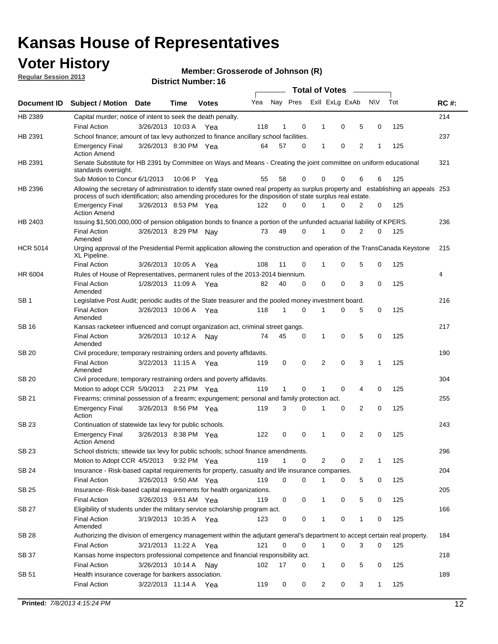## **Voter History**

**Member: Grosserode of Johnson (R)** 

**Regular Session 2013**

|                 |                                                                                                                                                                                                                                                  |                       |         |              |     |              |          | <b>Total of Votes</b> |   |   |              |     |             |
|-----------------|--------------------------------------------------------------------------------------------------------------------------------------------------------------------------------------------------------------------------------------------------|-----------------------|---------|--------------|-----|--------------|----------|-----------------------|---|---|--------------|-----|-------------|
| Document ID     | Subject / Motion Date                                                                                                                                                                                                                            |                       | Time    | <b>Votes</b> | Yea | Nay Pres     |          | Exll ExLg ExAb        |   |   | <b>NV</b>    | Tot | <b>RC#:</b> |
| HB 2389         | Capital murder; notice of intent to seek the death penalty.                                                                                                                                                                                      |                       |         |              |     |              |          |                       |   |   |              |     | 214         |
|                 | <b>Final Action</b>                                                                                                                                                                                                                              | 3/26/2013 10:03 A     |         | Yea          | 118 | 1            | 0        | 1                     | 0 | 5 | 0            | 125 |             |
| HB 2391         | School finance; amount of tax levy authorized to finance ancillary school facilities.                                                                                                                                                            |                       |         |              |     |              |          |                       |   |   |              |     | 237         |
|                 | <b>Emergency Final</b><br><b>Action Amend</b>                                                                                                                                                                                                    | 3/26/2013 8:30 PM Yea |         |              | 64  | 57           | 0        | 1                     | 0 | 2 | 1            | 125 |             |
| HB 2391         | Senate Substitute for HB 2391 by Committee on Ways and Means - Creating the joint committee on uniform educational<br>standards oversight.                                                                                                       |                       |         |              |     |              |          |                       |   |   |              |     | 321         |
|                 | Sub Motion to Concur 6/1/2013                                                                                                                                                                                                                    |                       | 10:06 P | Yea          | 55  | 58           | 0        | 0                     | 0 | 6 | 6            | 125 |             |
| HB 2396         | Allowing the secretary of administration to identify state owned real property as surplus property and establishing an appeals 253<br>process of such identification; also amending procedures for the disposition of state surplus real estate. |                       |         |              |     |              |          |                       |   |   |              |     |             |
|                 | <b>Emergency Final</b><br>Action Amend                                                                                                                                                                                                           | 3/26/2013 8:53 PM Yea |         |              | 122 | 0            | 0        |                       | 0 | 2 | 0            | 125 |             |
| HB 2403         | Issuing \$1,500,000,000 of pension obligation bonds to finance a portion of the unfunded actuarial liability of KPERS.                                                                                                                           |                       |         |              |     |              |          |                       |   |   |              |     | 236         |
|                 | <b>Final Action</b><br>Amended                                                                                                                                                                                                                   | 3/26/2013 8:29 PM Nay |         |              | 73  | 49           | 0        | 1                     | 0 | 2 | 0            | 125 |             |
| <b>HCR 5014</b> | Urging approval of the Presidential Permit application allowing the construction and operation of the TransCanada Keystone<br>XL Pipeline.                                                                                                       |                       |         |              |     |              |          |                       |   |   |              |     | 215         |
|                 | <b>Final Action</b>                                                                                                                                                                                                                              | 3/26/2013 10:05 A     |         | Yea          | 108 | 11           | 0        |                       | 0 | 5 | 0            | 125 |             |
| HR 6004         | Rules of House of Representatives, permanent rules of the 2013-2014 biennium.                                                                                                                                                                    |                       |         |              |     |              |          |                       |   |   |              |     | 4           |
|                 | <b>Final Action</b><br>Amended                                                                                                                                                                                                                   | 1/28/2013 11:09 A     |         | Yea          | 82  | 40           | 0        | 0                     | 0 | 3 | 0            | 125 |             |
| SB 1            | Legislative Post Audit; periodic audits of the State treasurer and the pooled money investment board.                                                                                                                                            |                       |         |              |     |              |          |                       |   |   |              |     | 216         |
|                 | <b>Final Action</b><br>Amended                                                                                                                                                                                                                   | 3/26/2013 10:06 A     |         | Yea          | 118 | 1            | 0        | 1                     | 0 | 5 | 0            | 125 |             |
| SB 16           | Kansas racketeer influenced and corrupt organization act, criminal street gangs.                                                                                                                                                                 |                       |         |              |     |              |          |                       |   |   |              |     | 217         |
|                 | <b>Final Action</b><br>Amended                                                                                                                                                                                                                   | 3/26/2013 10:12 A Nay |         |              | 74  | 45           | 0        | 1                     | 0 | 5 | 0            | 125 |             |
| SB 20           | Civil procedure; temporary restraining orders and poverty affidavits.                                                                                                                                                                            |                       |         |              |     |              |          |                       |   |   |              |     | 190         |
|                 | <b>Final Action</b><br>Amended                                                                                                                                                                                                                   | 3/22/2013 11:15 A     |         | Yea          | 119 | 0            | 0        | 2                     | 0 | 3 | 1            | 125 |             |
| SB 20           | Civil procedure; temporary restraining orders and poverty affidavits.                                                                                                                                                                            |                       |         |              |     |              |          |                       |   |   |              |     | 304         |
|                 | Motion to adopt CCR 5/9/2013                                                                                                                                                                                                                     |                       |         | 2:21 PM Yea  | 119 | $\mathbf{1}$ | 0        | 1                     | 0 | 4 | 0            | 125 |             |
| SB 21           | Firearms; criminal possession of a firearm; expungement; personal and family protection act.                                                                                                                                                     |                       |         |              |     |              |          |                       |   |   |              |     | 255         |
|                 | <b>Emergency Final</b><br>Action                                                                                                                                                                                                                 | 3/26/2013 8:56 PM Yea |         |              | 119 | 3            | 0        |                       | 0 | 2 | 0            | 125 |             |
| SB 23           | Continuation of statewide tax levy for public schools.                                                                                                                                                                                           |                       |         |              |     |              |          |                       |   |   |              |     | 243         |
|                 | <b>Emergency Final</b><br><b>Action Amend</b>                                                                                                                                                                                                    | 3/26/2013 8:38 PM Yea |         |              | 122 | 0            | 0        | 1                     | 0 | 2 | 0            | 125 |             |
| <b>SB 23</b>    | School districts; sttewide tax levy for public schools; school finance amendments.                                                                                                                                                               |                       |         |              |     |              |          |                       |   |   |              |     | 296         |
|                 | Motion to Adopt CCR 4/5/2013 9:32 PM Yea                                                                                                                                                                                                         |                       |         |              | 119 | 1            | 0        | 2                     | 0 | 2 | 1            | 125 |             |
| <b>SB 24</b>    | Insurance - Risk-based capital requirements for property, casualty and life insurance companies.                                                                                                                                                 |                       |         |              |     |              |          |                       |   |   |              |     | 204         |
|                 | <b>Final Action</b>                                                                                                                                                                                                                              | 3/26/2013 9:50 AM Yea |         |              | 119 | 0            | 0        |                       | 0 | 5 | 0            | 125 |             |
| SB 25           | Insurance-Risk-based capital requirements for health organizations.                                                                                                                                                                              |                       |         |              |     |              |          |                       |   |   |              |     | 205         |
|                 | <b>Final Action</b>                                                                                                                                                                                                                              | 3/26/2013 9:51 AM Yea |         |              | 119 | 0            | 0        | 1                     | 0 | 5 | 0            | 125 |             |
| SB 27           | Eligibility of students under the military service scholarship program act.<br><b>Final Action</b>                                                                                                                                               | 3/19/2013 10:35 A Yea |         |              | 123 | 0            | 0        |                       | 0 | 1 | 0            | 125 | 166         |
|                 | Amended                                                                                                                                                                                                                                          |                       |         |              |     |              |          |                       |   |   |              |     |             |
| SB 28           | Authorizing the division of emergency management within the adjutant general's department to accept certain real property.                                                                                                                       |                       |         |              |     |              |          |                       |   |   |              |     | 184         |
|                 | <b>Final Action</b>                                                                                                                                                                                                                              | 3/21/2013 11:22 A Yea |         |              | 121 | 0            | $\Omega$ | 1                     | 0 | 3 | $\Omega$     | 125 |             |
| SB 37           | Kansas home inspectors professional competence and financial responsibility act.                                                                                                                                                                 |                       |         |              |     |              |          |                       |   |   |              |     | 218         |
|                 | <b>Final Action</b>                                                                                                                                                                                                                              | 3/26/2013 10:14 A Nay |         |              | 102 | 17           | 0        | 1                     | 0 | 5 | 0            | 125 |             |
| SB 51           | Health insurance coverage for bankers association.<br><b>Final Action</b>                                                                                                                                                                        | 3/22/2013 11:14 A Yea |         |              | 119 | 0            | 0        | 2                     | 0 | 3 | $\mathbf{1}$ | 125 | 189         |
|                 |                                                                                                                                                                                                                                                  |                       |         |              |     |              |          |                       |   |   |              |     |             |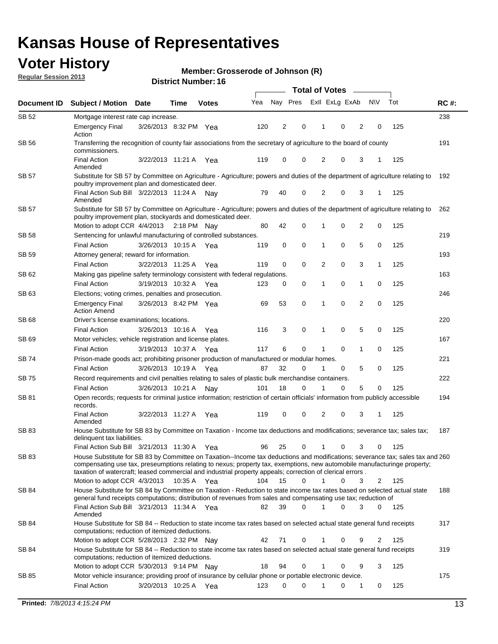## **Voter History**

**Member: Grosserode of Johnson (R)** 

**Regular Session 2013**

|              | <b>Total of Votes</b><br>$\frac{1}{2}$                                                                                                                                                                                                                                                                                                                                                                  |                       |             |              |     |          |             |                |   |                |           |     |             |
|--------------|---------------------------------------------------------------------------------------------------------------------------------------------------------------------------------------------------------------------------------------------------------------------------------------------------------------------------------------------------------------------------------------------------------|-----------------------|-------------|--------------|-----|----------|-------------|----------------|---|----------------|-----------|-----|-------------|
| Document ID  | <b>Subject / Motion Date</b>                                                                                                                                                                                                                                                                                                                                                                            |                       | Time        | <b>Votes</b> | Yea | Nay Pres |             | Exll ExLg ExAb |   |                | <b>NV</b> | Tot | <b>RC#:</b> |
| SB 52        | Mortgage interest rate cap increase.                                                                                                                                                                                                                                                                                                                                                                    |                       |             |              |     |          |             |                |   |                |           |     | 238         |
|              | <b>Emergency Final</b><br>Action                                                                                                                                                                                                                                                                                                                                                                        | 3/26/2013 8:32 PM Yea |             |              | 120 | 2        | 0           | 1              | 0 | 2              | 0         | 125 |             |
| <b>SB 56</b> | Transferring the recognition of county fair associations from the secretary of agriculture to the board of county<br>commissioners.                                                                                                                                                                                                                                                                     |                       |             |              |     |          |             |                |   |                |           |     | 191         |
|              | <b>Final Action</b><br>Amended                                                                                                                                                                                                                                                                                                                                                                          | 3/22/2013 11:21 A     |             | Yea          | 119 | 0        | 0           | 2              | 0 | 3              | 1         | 125 |             |
| <b>SB 57</b> | Substitute for SB 57 by Committee on Agriculture - Agriculture; powers and duties of the department of agriculture relating to<br>poultry improvement plan and domesticated deer.                                                                                                                                                                                                                       |                       |             |              |     |          |             |                |   |                |           |     | 192         |
|              | Final Action Sub Bill 3/22/2013 11:24 A Nav<br>Amended                                                                                                                                                                                                                                                                                                                                                  |                       |             |              | 79  | 40       | 0           | 2              | 0 | 3              | 1         | 125 |             |
| <b>SB 57</b> | Substitute for SB 57 by Committee on Agriculture - Agriculture; powers and duties of the department of agriculture relating to<br>poultry improvement plan, stockyards and domesticated deer.                                                                                                                                                                                                           |                       |             |              |     |          |             |                |   |                |           |     | 262         |
|              | Motion to adopt CCR 4/4/2013                                                                                                                                                                                                                                                                                                                                                                            |                       | 2:18 PM Nay |              | 80  | 42       | 0           |                | 0 | 2              | 0         | 125 |             |
| SB 58        | Sentencing for unlawful manufacturing of controlled substances.                                                                                                                                                                                                                                                                                                                                         |                       |             |              |     |          |             |                |   |                |           |     | 219         |
|              | <b>Final Action</b>                                                                                                                                                                                                                                                                                                                                                                                     | 3/26/2013 10:15 A     |             | Yea          | 119 | 0        | 0           | 1              | 0 | 5              | 0         | 125 |             |
| <b>SB 59</b> | Attorney general; reward for information.                                                                                                                                                                                                                                                                                                                                                               |                       |             |              |     |          |             |                |   |                |           |     | 193         |
|              | <b>Final Action</b>                                                                                                                                                                                                                                                                                                                                                                                     | 3/22/2013 11:25 A     |             | Yea          | 119 | 0        | $\mathbf 0$ | 2              | 0 | 3              | 1         | 125 |             |
| SB 62        | Making gas pipeline safety terminology consistent with federal regulations.                                                                                                                                                                                                                                                                                                                             |                       |             |              |     |          |             |                |   |                |           |     | 163         |
|              | <b>Final Action</b>                                                                                                                                                                                                                                                                                                                                                                                     | 3/19/2013 10:32 A     |             | Yea          | 123 | 0        | 0           | 1              | 0 | 1              | 0         | 125 |             |
| SB 63        | Elections; voting crimes, penalties and prosecution.                                                                                                                                                                                                                                                                                                                                                    |                       |             |              |     |          |             |                |   |                |           |     | 246         |
|              | <b>Emergency Final</b><br><b>Action Amend</b>                                                                                                                                                                                                                                                                                                                                                           | 3/26/2013 8:42 PM Yea |             |              | 69  | 53       | 0           | 1              | 0 | $\overline{2}$ | 0         | 125 |             |
| <b>SB68</b>  | Driver's license examinations; locations.                                                                                                                                                                                                                                                                                                                                                               |                       |             |              |     |          |             |                | 0 | 5              |           |     | 220         |
| SB 69        | <b>Final Action</b><br>Motor vehicles; vehicle registration and license plates.                                                                                                                                                                                                                                                                                                                         | 3/26/2013 10:16 A     |             | Yea          | 116 | 3        | 0           | 1              |   |                | 0         | 125 | 167         |
|              | <b>Final Action</b>                                                                                                                                                                                                                                                                                                                                                                                     | 3/19/2013 10:37 A     |             | Yea          | 117 | 6        | 0           | 1              | 0 | 1              | 0         | 125 |             |
| SB 74        | Prison-made goods act; prohibiting prisoner production of manufactured or modular homes.                                                                                                                                                                                                                                                                                                                |                       |             |              |     |          |             |                |   |                |           |     | 221         |
|              | <b>Final Action</b>                                                                                                                                                                                                                                                                                                                                                                                     | 3/26/2013 10:19 A     |             | Yea          | 87  | 32       | 0           | 1              | 0 | 5              | 0         | 125 |             |
| SB 75        | Record requirements and civil penalties relating to sales of plastic bulk merchandise containers.                                                                                                                                                                                                                                                                                                       |                       |             |              |     |          |             |                |   |                |           |     | 222         |
|              | <b>Final Action</b>                                                                                                                                                                                                                                                                                                                                                                                     | 3/26/2013 10:21 A     |             | Nay          | 101 | 18       | 0           |                | 0 | 5              | 0         | 125 |             |
| SB 81        | Open records; requests for criminal justice information; restriction of certain officials' information from publicly accessible<br>records.                                                                                                                                                                                                                                                             |                       |             |              |     |          |             |                |   |                |           |     | 194         |
|              | <b>Final Action</b><br>Amended                                                                                                                                                                                                                                                                                                                                                                          | 3/22/2013 11:27 A     |             | Yea          | 119 | 0        | 0           | 2              | 0 | 3              | 1         | 125 |             |
| SB 83        | House Substitute for SB 83 by Committee on Taxation - Income tax deductions and modifications; severance tax; sales tax;<br>delinquent tax liabilities.                                                                                                                                                                                                                                                 |                       |             |              |     |          |             |                |   |                |           |     | 187         |
|              | Final Action Sub Bill 3/21/2013 11:30 A                                                                                                                                                                                                                                                                                                                                                                 |                       |             | Yea          | 96  | 25       | 0           | 1              | 0 | 3              | 0         | 125 |             |
| SB 83        | House Substitute for SB 83 by Committee on Taxation--Income tax deductions and modifications; severance tax; sales tax and 260<br>compensating use tax, preseumptions relating to nexus; property tax, exemptions, new automobile manufacturinge property;<br>taxation of watercraft; leased commercial and industrial property appeals; correction of clerical errors.<br>Motion to adopt CCR 4/3/2013 |                       |             |              | 104 | 15       | $\Omega$    | $\mathbf{1}$   | 0 | 3              | 2         | 125 |             |
| SB 84        | House Substitute for SB 84 by Committee on Taxation - Reduction to state income tax rates based on selected actual state                                                                                                                                                                                                                                                                                |                       | 10:35 A Yea |              |     |          |             |                |   |                |           |     | 188         |
|              | general fund receipts computations; distribution of revenues from sales and compensating use tax; reduction of<br>Final Action Sub Bill 3/21/2013 11:34 A Yea                                                                                                                                                                                                                                           |                       |             |              | 82  | 39       | $\Omega$    |                | 0 | 3              | $\Omega$  | 125 |             |
|              | Amended                                                                                                                                                                                                                                                                                                                                                                                                 |                       |             |              |     |          |             |                |   |                |           |     |             |
| SB 84        | House Substitute for SB 84 -- Reduction to state income tax rates based on selected actual state general fund receipts<br>computations; reduction of itemized deductions.                                                                                                                                                                                                                               |                       |             |              |     |          |             |                |   |                |           |     | 317         |
|              | Motion to adopt CCR 5/28/2013 2:32 PM Nay                                                                                                                                                                                                                                                                                                                                                               |                       |             |              | 42  | 71       | 0           |                | 0 | 9              | 2         | 125 |             |
| SB 84        | House Substitute for SB 84 -- Reduction to state income tax rates based on selected actual state general fund receipts<br>computations; reduction of itemized deductions.                                                                                                                                                                                                                               |                       |             |              |     |          |             |                |   |                |           |     | 319         |
|              | Motion to adopt CCR 5/30/2013 9:14 PM Nav                                                                                                                                                                                                                                                                                                                                                               |                       |             |              | 18  | 94       | 0           |                | 0 | 9              | 3         | 125 |             |
| SB 85        | Motor vehicle insurance; providing proof of insurance by cellular phone or portable electronic device.                                                                                                                                                                                                                                                                                                  |                       |             |              |     |          |             |                |   |                |           |     | 175         |
|              | <b>Final Action</b>                                                                                                                                                                                                                                                                                                                                                                                     | 3/20/2013 10:25 A Yea |             |              | 123 | 0        | $\Omega$    |                | 0 | 1              | 0         | 125 |             |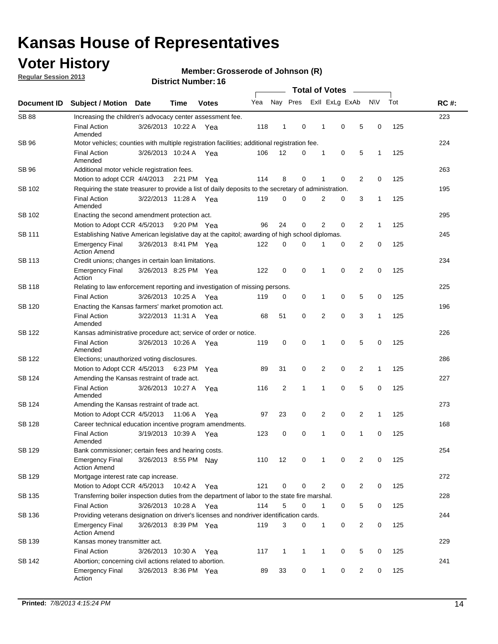## **Voter History**

**Regular Session 2013**

#### **Member: Grosserode of Johnson (R)**

| Document ID   |                                                                                                       |                                                                    |         |              |     |                |              |                |             |                |              |     |             |
|---------------|-------------------------------------------------------------------------------------------------------|--------------------------------------------------------------------|---------|--------------|-----|----------------|--------------|----------------|-------------|----------------|--------------|-----|-------------|
|               | <b>Subject / Motion Date</b>                                                                          |                                                                    | Time    | <b>Votes</b> | Yea | Nay Pres       |              | Exll ExLg ExAb |             |                | <b>NV</b>    | Tot | <b>RC#:</b> |
| <b>SB 88</b>  | Increasing the children's advocacy center assessment fee.                                             |                                                                    |         |              |     |                |              |                |             |                |              |     | 223         |
|               | <b>Final Action</b><br>Amended                                                                        | 3/26/2013 10:22 A                                                  |         | Yea          | 118 | 1              | 0            | 1              | 0           | 5              | 0            | 125 |             |
| <b>SB 96</b>  | Motor vehicles; counties with multiple registration facilities; additional registration fee.          |                                                                    |         |              |     |                |              |                |             |                |              |     | 224         |
|               | <b>Final Action</b><br>Amended                                                                        | 3/26/2013 10:24 A                                                  |         | Yea          | 106 | 12             | 0            | 1              | 0           | 5              | 1            | 125 |             |
| SB 96         | Additional motor vehicle registration fees.                                                           |                                                                    |         |              |     |                |              |                |             |                |              |     | 263         |
|               | Motion to adopt CCR 4/4/2013 2:21 PM                                                                  |                                                                    |         | Yea          | 114 | 8              | 0            |                | $\mathbf 0$ | $\overline{2}$ | 0            | 125 |             |
| SB 102        | Requiring the state treasurer to provide a list of daily deposits to the secretary of administration. |                                                                    |         |              |     |                |              |                |             |                |              |     | 195         |
|               | <b>Final Action</b><br>Amended                                                                        | 3/22/2013 11:28 A Yea                                              |         |              | 119 | 0              | $\Omega$     | $\overline{2}$ | 0           | 3              | 1            | 125 |             |
| SB 102        | Enacting the second amendment protection act.                                                         |                                                                    |         |              |     |                |              |                |             |                |              |     |             |
|               | Motion to Adopt CCR 4/5/2013                                                                          | 0<br>2<br>2<br>96<br>24<br>0<br>$\mathbf{1}$<br>125<br>9:20 PM Yea |         |              |     |                |              |                |             |                |              |     |             |
| SB 111        | Establishing Native American legislative day at the capitol; awarding of high school diplomas.        |                                                                    |         |              |     |                |              |                |             |                |              |     |             |
|               | <b>Emergency Final</b><br><b>Action Amend</b>                                                         | 3/26/2013 8:41 PM Yea                                              |         |              | 122 | 0              | 0            | 1              | 0           | 2              | 0            | 125 |             |
| <b>SB 113</b> | Credit unions; changes in certain loan limitations.                                                   |                                                                    |         |              |     |                |              |                |             |                |              |     | 234         |
|               | <b>Emergency Final</b><br>Action                                                                      | 3/26/2013 8:25 PM Yea                                              |         |              | 122 | 0              | 0            | 1              | 0           | 2              | 0            | 125 |             |
| <b>SB 118</b> | Relating to law enforcement reporting and investigation of missing persons.                           |                                                                    |         |              |     |                |              |                |             |                |              |     | 225         |
|               | <b>Final Action</b>                                                                                   | 3/26/2013 10:25 A Yea                                              |         |              | 119 | 0              | 0            | 1              | 0           | 5              | 0            | 125 |             |
| SB 120        | Enacting the Kansas farmers' market promotion act.                                                    |                                                                    |         |              |     |                |              |                |             |                |              |     | 196         |
|               | <b>Final Action</b><br>Amended                                                                        | 3/22/2013 11:31 A Yea                                              |         |              | 68  | 51             | 0            | 2              | $\mathbf 0$ | 3              | $\mathbf{1}$ | 125 |             |
| <b>SB 122</b> | Kansas administrative procedure act; service of order or notice.                                      |                                                                    |         |              |     |                |              |                |             |                |              |     | 226         |
|               | <b>Final Action</b><br>Amended                                                                        | 3/26/2013 10:26 A                                                  |         | Yea          | 119 | 0              | 0            | 1              | $\mathbf 0$ | 5              | 0            | 125 |             |
| SB 122        | Elections; unauthorized voting disclosures.                                                           |                                                                    |         |              |     |                |              |                |             |                |              |     |             |
|               | 2<br>0<br>2<br>Motion to Adopt CCR 4/5/2013<br>6:23 PM<br>89<br>31<br>0<br>$\mathbf{1}$<br>125<br>Yea |                                                                    |         |              |     |                |              |                |             |                |              |     |             |
| SB 124        | Amending the Kansas restraint of trade act.                                                           |                                                                    |         |              |     |                |              |                |             |                |              |     | 227         |
|               | <b>Final Action</b><br>Amended                                                                        | 3/26/2013 10:27 A                                                  |         | Yea          | 116 | $\overline{c}$ | $\mathbf{1}$ | 1              | 0           | 5              | 0            | 125 |             |
| SB 124        | Amending the Kansas restraint of trade act.                                                           |                                                                    |         |              |     |                |              |                |             |                |              |     | 273         |
|               | Motion to Adopt CCR 4/5/2013                                                                          |                                                                    | 11:06 A | Yea          | 97  | 23             | 0            | 2              | 0           | 2              | $\mathbf{1}$ | 125 |             |
| SB 128        | Career technical education incentive program amendments.                                              |                                                                    |         |              |     |                |              |                |             |                |              |     | 168         |
|               | <b>Final Action</b><br>Amended                                                                        | 3/19/2013 10:39 A                                                  |         | Yea          | 123 | 0              | 0            | 1              | 0           | 1              | 0            | 125 |             |
| <b>SB 129</b> | Bank commissioner: certain fees and hearing costs.                                                    |                                                                    |         |              |     |                |              |                |             |                |              |     | 254         |
|               | Emergency Final<br><b>Action Amend</b>                                                                | 3/26/2013 8:55 PM Nay                                              |         |              | 110 | 12             | 0            | 1              | 0           | 2              | 0            | 125 |             |
| SB 129        | Mortgage interest rate cap increase.                                                                  |                                                                    |         |              |     |                |              |                |             |                |              |     | 272         |
|               | Motion to Adopt CCR 4/5/2013                                                                          |                                                                    | 10:42 A | Yea          | 121 | 0              | 0            | 2              | 0           | 2              | 0            | 125 |             |
| SB 135        | Transferring boiler inspection duties from the department of labor to the state fire marshal.         |                                                                    |         |              |     |                |              |                |             |                |              |     | 228         |
|               | <b>Final Action</b>                                                                                   | 3/26/2013 10:28 A Yea                                              |         |              | 114 | 5              | 0            | 1              | 0           | 5              | 0            | 125 |             |
| SB 136        | Providing veterans designation on driver's licenses and nondriver identification cards.               |                                                                    |         |              |     |                |              |                |             |                |              |     | 244         |
|               | <b>Emergency Final</b><br><b>Action Amend</b>                                                         | 3/26/2013 8:39 PM Yea                                              |         |              | 119 | 3              | 0            | 1              | 0           | 2              | 0            | 125 |             |
| SB 139        | Kansas money transmitter act.                                                                         |                                                                    |         |              |     |                |              |                |             |                |              |     | 229         |
|               | <b>Final Action</b>                                                                                   | 3/26/2013 10:30 A                                                  |         | Yea          | 117 | $\mathbf{1}$   | $\mathbf{1}$ | 1              | 0           | 5              | 0            | 125 |             |
| SB 142        | Abortion; concerning civil actions related to abortion.                                               |                                                                    |         |              |     |                |              |                |             |                |              |     | 241         |
|               | <b>Emergency Final</b><br>Action                                                                      | 3/26/2013 8:36 PM Yea                                              |         |              | 89  | 33             | 0            | 1              | 0           | 2              | 0            | 125 |             |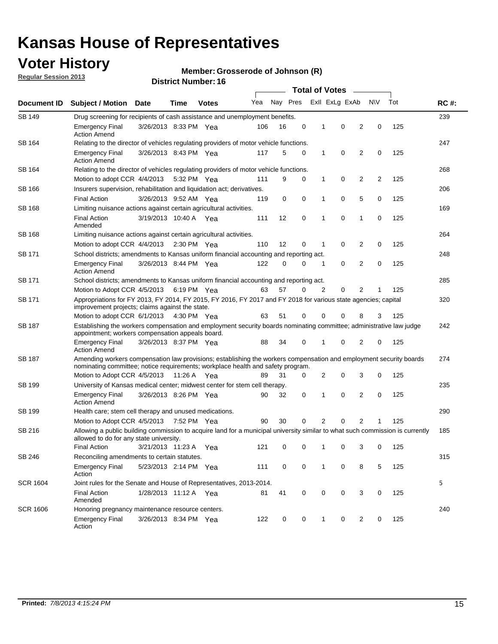## **Voter History**

**Member: Grosserode of Johnson (R)** 

**Regular Session 2013**

|                 |                                                                                                                                                                                                       |                                                                                                                                                                         |             |              |     |          |   | <b>Total of Votes</b> |                |                |                |     |             |  |
|-----------------|-------------------------------------------------------------------------------------------------------------------------------------------------------------------------------------------------------|-------------------------------------------------------------------------------------------------------------------------------------------------------------------------|-------------|--------------|-----|----------|---|-----------------------|----------------|----------------|----------------|-----|-------------|--|
| Document ID     | Subject / Motion Date                                                                                                                                                                                 |                                                                                                                                                                         | Time        | <b>Votes</b> | Yea | Nay Pres |   |                       | Exll ExLg ExAb |                | <b>NV</b>      | Tot | <b>RC#:</b> |  |
| <b>SB 149</b>   |                                                                                                                                                                                                       | 239<br>Drug screening for recipients of cash assistance and unemployment benefits.                                                                                      |             |              |     |          |   |                       |                |                |                |     |             |  |
|                 | <b>Emergency Final</b><br><b>Action Amend</b>                                                                                                                                                         | 3/26/2013 8:33 PM Yea                                                                                                                                                   |             |              | 106 | 16       | 0 | 1                     | 0              | 2              | 0              | 125 |             |  |
| SB 164          | Relating to the director of vehicles regulating providers of motor vehicle functions.                                                                                                                 |                                                                                                                                                                         |             |              |     |          |   |                       |                |                |                |     | 247         |  |
|                 | <b>Emergency Final</b><br><b>Action Amend</b>                                                                                                                                                         | 3/26/2013 8:43 PM Yea                                                                                                                                                   |             |              | 117 | 5        | 0 | $\mathbf{1}$          | 0              | 2              | 0              | 125 |             |  |
| SB 164          | Relating to the director of vehicles regulating providers of motor vehicle functions.                                                                                                                 |                                                                                                                                                                         |             |              |     |          |   |                       |                |                |                |     | 268         |  |
|                 | Motion to adopt CCR 4/4/2013                                                                                                                                                                          |                                                                                                                                                                         | 5:32 PM Yea |              | 111 | 9        | 0 | $\mathbf{1}$          | 0              | 2              | $\overline{2}$ | 125 |             |  |
| SB 166          | Insurers supervision, rehabilitation and liquidation act; derivatives.                                                                                                                                |                                                                                                                                                                         |             |              |     |          |   |                       |                |                |                |     | 206         |  |
|                 | <b>Final Action</b>                                                                                                                                                                                   | 3/26/2013 9:52 AM Yea                                                                                                                                                   |             |              | 119 | 0        | 0 | 1                     | 0              | 5              | 0              | 125 |             |  |
| SB 168          | Limiting nuisance actions against certain agricultural activities.                                                                                                                                    |                                                                                                                                                                         |             |              |     |          |   |                       |                |                |                |     | 169         |  |
|                 | <b>Final Action</b><br>Amended                                                                                                                                                                        | 3/19/2013 10:40 A Yea                                                                                                                                                   |             |              | 111 | 12       | 0 | 1                     | 0              | 1              | 0              | 125 |             |  |
| <b>SB 168</b>   | Limiting nuisance actions against certain agricultural activities.                                                                                                                                    |                                                                                                                                                                         |             |              |     |          |   |                       |                |                |                |     | 264         |  |
|                 | Motion to adopt CCR 4/4/2013                                                                                                                                                                          |                                                                                                                                                                         | 2:30 PM Yea |              | 110 | 12       | 0 | 1                     | 0              | 2              | 0              | 125 |             |  |
| SB 171          | School districts; amendments to Kansas uniform financial accounting and reporting act.                                                                                                                |                                                                                                                                                                         |             |              |     |          |   |                       |                |                |                |     | 248         |  |
|                 | <b>Emergency Final</b><br><b>Action Amend</b>                                                                                                                                                         | 3/26/2013 8:44 PM Yea                                                                                                                                                   |             |              | 122 | 0        | 0 | 1                     | 0              | 2              | 0              | 125 |             |  |
| SB 171          | School districts; amendments to Kansas uniform financial accounting and reporting act.                                                                                                                |                                                                                                                                                                         |             |              |     |          |   |                       |                |                |                |     | 285         |  |
|                 | Motion to Adopt CCR 4/5/2013 6:19 PM Yea                                                                                                                                                              |                                                                                                                                                                         |             |              | 63  | 57       | 0 | 2                     | 0              | 2              |                | 125 |             |  |
| SB 171          | Appropriations for FY 2013, FY 2014, FY 2015, FY 2016, FY 2017 and FY 2018 for various state agencies; capital<br>improvement projects; claims against the state.                                     |                                                                                                                                                                         |             |              |     |          |   |                       |                |                |                | 320 |             |  |
|                 | Motion to adopt CCR 6/1/2013 4:30 PM Yea                                                                                                                                                              |                                                                                                                                                                         |             |              | 63  | 51       | 0 | 0                     | 0              | 8              | 3              | 125 |             |  |
| <b>SB 187</b>   |                                                                                                                                                                                                       | Establishing the workers compensation and employment security boards nominating committee; administrative law judge<br>appointment; workers compensation appeals board. |             |              |     |          |   |                       |                |                |                |     | 242         |  |
|                 | <b>Emergency Final</b><br><b>Action Amend</b>                                                                                                                                                         | 3/26/2013 8:37 PM Yea                                                                                                                                                   |             |              | 88  | 34       | 0 |                       | 0              | 2              | 0              | 125 |             |  |
| SB 187          | Amending workers compensation law provisions; establishing the workers compensation and employment security boards<br>nominating committee; notice requirements; workplace health and safety program. |                                                                                                                                                                         |             |              |     |          |   |                       | 274            |                |                |     |             |  |
|                 | Motion to Adopt CCR 4/5/2013 11:26 A Yea                                                                                                                                                              |                                                                                                                                                                         |             |              | 89  | 31       | 0 | 2                     | 0              | 3              | 0              | 125 |             |  |
| SB 199          | University of Kansas medical center; midwest center for stem cell therapy.                                                                                                                            |                                                                                                                                                                         |             |              |     |          |   |                       |                |                |                |     | 235         |  |
|                 | Emergency Final<br><b>Action Amend</b>                                                                                                                                                                | 3/26/2013 8:26 PM Yea                                                                                                                                                   |             |              | 90  | 32       | 0 | 1                     | 0              | 2              | 0              | 125 |             |  |
| SB 199          | Health care; stem cell therapy and unused medications.                                                                                                                                                |                                                                                                                                                                         |             |              |     |          |   |                       |                |                |                |     | 290         |  |
|                 | Motion to Adopt CCR 4/5/2013                                                                                                                                                                          |                                                                                                                                                                         | 7:52 PM Yea |              | 90  | 30       | 0 | 2                     | 0              | $\overline{2}$ |                | 125 |             |  |
| SB 216          | Allowing a public building commission to acquire land for a municipal university similar to what such commission is currently<br>allowed to do for any state university.                              |                                                                                                                                                                         |             |              |     |          |   |                       |                |                |                |     | 185         |  |
|                 | <b>Final Action</b>                                                                                                                                                                                   | 3/21/2013 11:23 A Yea                                                                                                                                                   |             |              | 121 | 0        | 0 | 1                     | 0              | 3              | 0              | 125 |             |  |
| SB 246          | Reconciling amendments to certain statutes.                                                                                                                                                           |                                                                                                                                                                         |             |              |     |          |   |                       |                |                |                |     | 315         |  |
|                 | <b>Emergency Final</b><br>Action                                                                                                                                                                      | 5/23/2013 2:14 PM Yea                                                                                                                                                   |             |              | 111 | 0        | 0 | 1                     | 0              | 8              | 5              | 125 |             |  |
| <b>SCR 1604</b> | Joint rules for the Senate and House of Representatives, 2013-2014.                                                                                                                                   |                                                                                                                                                                         |             |              |     |          |   |                       |                |                |                |     | 5           |  |
|                 | <b>Final Action</b><br>Amended                                                                                                                                                                        | 1/28/2013 11:12 A Yea                                                                                                                                                   |             |              | 81  | 41       | 0 | 0                     | 0              | 3              | 0              | 125 |             |  |
| <b>SCR 1606</b> | Honoring pregnancy maintenance resource centers.                                                                                                                                                      |                                                                                                                                                                         |             |              |     |          |   |                       |                |                |                |     | 240         |  |
|                 | <b>Emergency Final</b><br>Action                                                                                                                                                                      | 3/26/2013 8:34 PM Yea                                                                                                                                                   |             |              | 122 | 0        | 0 | 1                     | 0              | 2              | 0              | 125 |             |  |